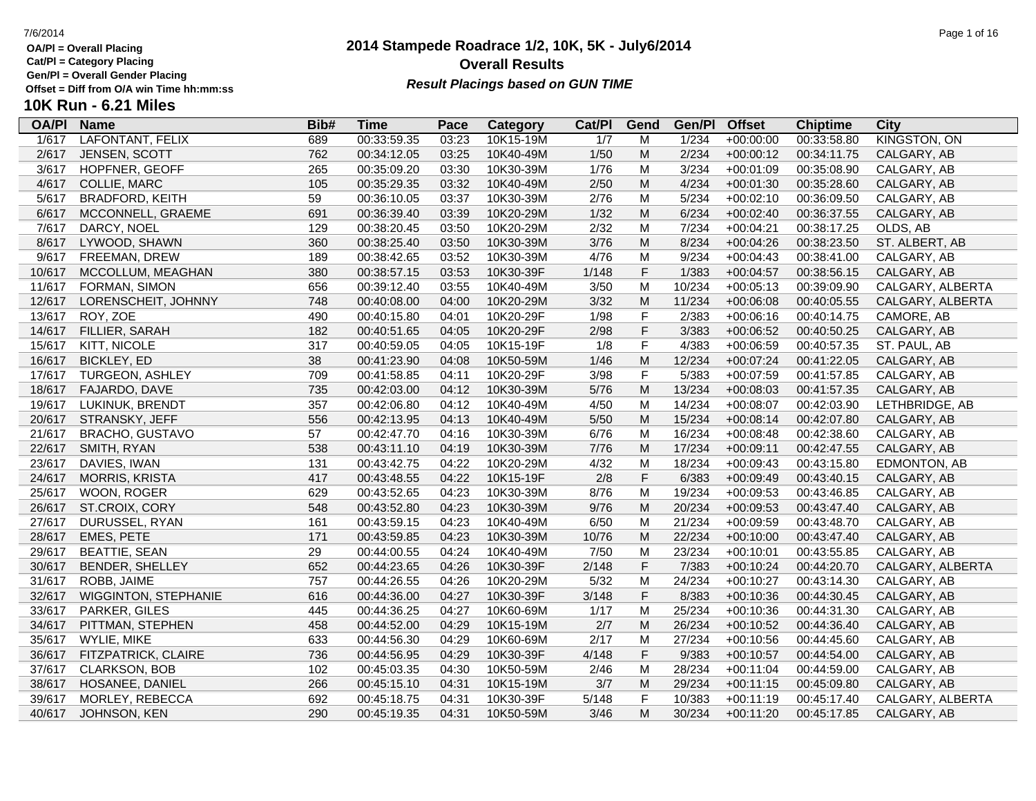**Cat/Pl = Category Placing**

**Gen/Pl = Overall Gender Placing**

### **2014 Stampede Roadrace 1/2, 10K, 5K - July6/2014** 7/6/2014 Page 1 of 16 **Overall Results** Gen/PI = Overall Gender Placing<br>Offset = Diff from O/A win Time hh:mm:ss *Result Placings based on GUN TIME*

| <b>OA/PI</b> | <b>Name</b>                 | Bib# | <b>Time</b> | Pace  | Category  | Cat/PI           | Gend        | Gen/Pl | <b>Offset</b> | <b>Chiptime</b> | City                |
|--------------|-----------------------------|------|-------------|-------|-----------|------------------|-------------|--------|---------------|-----------------|---------------------|
| 1/617        | LAFONTANT, FELIX            | 689  | 00:33:59.35 | 03:23 | 10K15-19M | $\overline{1/7}$ | M           | 1/234  | $+00:00:00$   | 00:33:58.80     | <b>KINGSTON, ON</b> |
| 2/617        | JENSEN, SCOTT               | 762  | 00:34:12.05 | 03:25 | 10K40-49M | 1/50             | M           | 2/234  | $+00:00:12$   | 00:34:11.75     | CALGARY, AB         |
| 3/617        | HOPFNER, GEOFF              | 265  | 00:35:09.20 | 03:30 | 10K30-39M | 1/76             | M           | 3/234  | $+00:01:09$   | 00:35:08.90     | CALGARY, AB         |
| 4/617        | <b>COLLIE, MARC</b>         | 105  | 00:35:29.35 | 03:32 | 10K40-49M | 2/50             | M           | 4/234  | $+00:01:30$   | 00:35:28.60     | CALGARY, AB         |
| 5/617        | <b>BRADFORD, KEITH</b>      | 59   | 00:36:10.05 | 03:37 | 10K30-39M | 2/76             | M           | 5/234  | $+00:02:10$   | 00:36:09.50     | CALGARY, AB         |
| 6/617        | MCCONNELL, GRAEME           | 691  | 00:36:39.40 | 03:39 | 10K20-29M | 1/32             | ${\sf M}$   | 6/234  | $+00:02:40$   | 00:36:37.55     | CALGARY, AB         |
| 7/617        | DARCY, NOEL                 | 129  | 00:38:20.45 | 03:50 | 10K20-29M | 2/32             | M           | 7/234  | $+00:04:21$   | 00:38:17.25     | OLDS, AB            |
| 8/617        | LYWOOD, SHAWN               | 360  | 00:38:25.40 | 03:50 | 10K30-39M | 3/76             | ${\sf M}$   | 8/234  | $+00:04:26$   | 00:38:23.50     | ST. ALBERT, AB      |
| 9/617        | FREEMAN, DREW               | 189  | 00:38:42.65 | 03:52 | 10K30-39M | 4/76             | M           | 9/234  | $+00:04:43$   | 00:38:41.00     | CALGARY, AB         |
| 10/617       | MCCOLLUM, MEAGHAN           | 380  | 00:38:57.15 | 03:53 | 10K30-39F | 1/148            | $\mathsf F$ | 1/383  | $+00:04:57$   | 00:38:56.15     | CALGARY, AB         |
| 11/617       | FORMAN, SIMON               | 656  | 00:39:12.40 | 03:55 | 10K40-49M | 3/50             | M           | 10/234 | $+00:05:13$   | 00:39:09.90     | CALGARY, ALBERTA    |
| 12/617       | LORENSCHEIT, JOHNNY         | 748  | 00:40:08.00 | 04:00 | 10K20-29M | 3/32             | M           | 11/234 | $+00:06:08$   | 00:40:05.55     | CALGARY, ALBERTA    |
| 13/617       | ROY, ZOE                    | 490  | 00:40:15.80 | 04:01 | 10K20-29F | 1/98             | $\mathsf F$ | 2/383  | $+00:06:16$   | 00:40:14.75     | CAMORE, AB          |
| 14/617       | FILLIER, SARAH              | 182  | 00:40:51.65 | 04:05 | 10K20-29F | 2/98             | $\mathsf F$ | 3/383  | $+00:06:52$   | 00:40:50.25     | CALGARY, AB         |
| 15/617       | KITT, NICOLE                | 317  | 00:40:59.05 | 04:05 | 10K15-19F | 1/8              | $\mathsf F$ | 4/383  | $+00:06:59$   | 00:40:57.35     | ST. PAUL, AB        |
| 16/617       | <b>BICKLEY, ED</b>          | 38   | 00:41:23.90 | 04:08 | 10K50-59M | 1/46             | M           | 12/234 | $+00:07:24$   | 00:41:22.05     | CALGARY, AB         |
| 17/617       | <b>TURGEON, ASHLEY</b>      | 709  | 00:41:58.85 | 04:11 | 10K20-29F | 3/98             | $\mathsf F$ | 5/383  | $+00:07:59$   | 00:41:57.85     | CALGARY, AB         |
| 18/617       | FAJARDO, DAVE               | 735  | 00:42:03.00 | 04:12 | 10K30-39M | 5/76             | M           | 13/234 | $+00:08:03$   | 00:41:57.35     | CALGARY, AB         |
| 19/617       | LUKINUK, BRENDT             | 357  | 00:42:06.80 | 04:12 | 10K40-49M | 4/50             | M           | 14/234 | $+00:08:07$   | 00:42:03.90     | LETHBRIDGE, AB      |
| 20/617       | STRANSKY, JEFF              | 556  | 00:42:13.95 | 04:13 | 10K40-49M | $5/50$           | M           | 15/234 | $+00:08:14$   | 00:42:07.80     | CALGARY, AB         |
| 21/617       | <b>BRACHO, GUSTAVO</b>      | 57   | 00:42:47.70 | 04:16 | 10K30-39M | 6/76             | M           | 16/234 | $+00:08:48$   | 00:42:38.60     | CALGARY, AB         |
| 22/617       | SMITH, RYAN                 | 538  | 00:43:11.10 | 04:19 | 10K30-39M | 7/76             | M           | 17/234 | $+00:09:11$   | 00:42:47.55     | CALGARY, AB         |
| 23/617       | DAVIES, IWAN                | 131  | 00:43:42.75 | 04:22 | 10K20-29M | 4/32             | M           | 18/234 | $+00:09:43$   | 00:43:15.80     | EDMONTON, AB        |
| 24/617       | <b>MORRIS, KRISTA</b>       | 417  | 00:43:48.55 | 04:22 | 10K15-19F | 2/8              | $\mathsf F$ | 6/383  | $+00:09:49$   | 00:43:40.15     | CALGARY, AB         |
| 25/617       | WOON, ROGER                 | 629  | 00:43:52.65 | 04:23 | 10K30-39M | 8/76             | M           | 19/234 | $+00:09:53$   | 00:43:46.85     | CALGARY, AB         |
| 26/617       | ST.CROIX, CORY              | 548  | 00:43:52.80 | 04:23 | 10K30-39M | 9/76             | M           | 20/234 | $+00:09:53$   | 00:43:47.40     | CALGARY, AB         |
| 27/617       | DURUSSEL, RYAN              | 161  | 00:43:59.15 | 04:23 | 10K40-49M | 6/50             | M           | 21/234 | $+00:09:59$   | 00:43:48.70     | CALGARY, AB         |
| 28/617       | EMES, PETE                  | 171  | 00:43:59.85 | 04:23 | 10K30-39M | 10/76            | M           | 22/234 | $+00:10:00$   | 00:43:47.40     | CALGARY, AB         |
| 29/617       | <b>BEATTIE, SEAN</b>        | 29   | 00:44:00.55 | 04:24 | 10K40-49M | 7/50             | M           | 23/234 | $+00:10:01$   | 00:43:55.85     | CALGARY, AB         |
| 30/617       | <b>BENDER, SHELLEY</b>      | 652  | 00:44:23.65 | 04:26 | 10K30-39F | 2/148            | $\mathsf F$ | 7/383  | $+00:10:24$   | 00:44:20.70     | CALGARY, ALBERTA    |
| 31/617       | ROBB, JAIME                 | 757  | 00:44:26.55 | 04:26 | 10K20-29M | 5/32             | M           | 24/234 | $+00:10:27$   | 00:43:14.30     | CALGARY, AB         |
| 32/617       | <b>WIGGINTON, STEPHANIE</b> | 616  | 00:44:36.00 | 04:27 | 10K30-39F | 3/148            | $\mathsf F$ | 8/383  | $+00:10:36$   | 00:44:30.45     | CALGARY, AB         |
| 33/617       | PARKER, GILES               | 445  | 00:44:36.25 | 04:27 | 10K60-69M | 1/17             | M           | 25/234 | $+00:10:36$   | 00:44:31.30     | CALGARY, AB         |
| 34/617       | PITTMAN, STEPHEN            | 458  | 00:44:52.00 | 04:29 | 10K15-19M | 2/7              | M           | 26/234 | $+00:10:52$   | 00:44:36.40     | CALGARY, AB         |
| 35/617       | WYLIE, MIKE                 | 633  | 00:44:56.30 | 04:29 | 10K60-69M | 2/17             | M           | 27/234 | $+00:10:56$   | 00:44:45.60     | CALGARY, AB         |
| 36/617       | FITZPATRICK, CLAIRE         | 736  | 00:44:56.95 | 04:29 | 10K30-39F | 4/148            | $\mathsf F$ | 9/383  | $+00:10:57$   | 00:44:54.00     | CALGARY, AB         |
| 37/617       | <b>CLARKSON, BOB</b>        | 102  | 00:45:03.35 | 04:30 | 10K50-59M | 2/46             | M           | 28/234 | $+00:11:04$   | 00:44:59.00     | CALGARY, AB         |
| 38/617       | HOSANEE, DANIEL             | 266  | 00:45:15.10 | 04:31 | 10K15-19M | 3/7              | M           | 29/234 | $+00:11:15$   | 00:45:09.80     | CALGARY, AB         |
| 39/617       | MORLEY, REBECCA             | 692  | 00:45:18.75 | 04:31 | 10K30-39F | 5/148            | $\mathsf F$ | 10/383 | $+00:11:19$   | 00:45:17.40     | CALGARY, ALBERTA    |
| 40/617       | JOHNSON, KEN                | 290  | 00:45:19.35 | 04:31 | 10K50-59M | 3/46             | M           | 30/234 | $+00:11:20$   | 00:45:17.85     | CALGARY, AB         |
|              |                             |      |             |       |           |                  |             |        |               |                 |                     |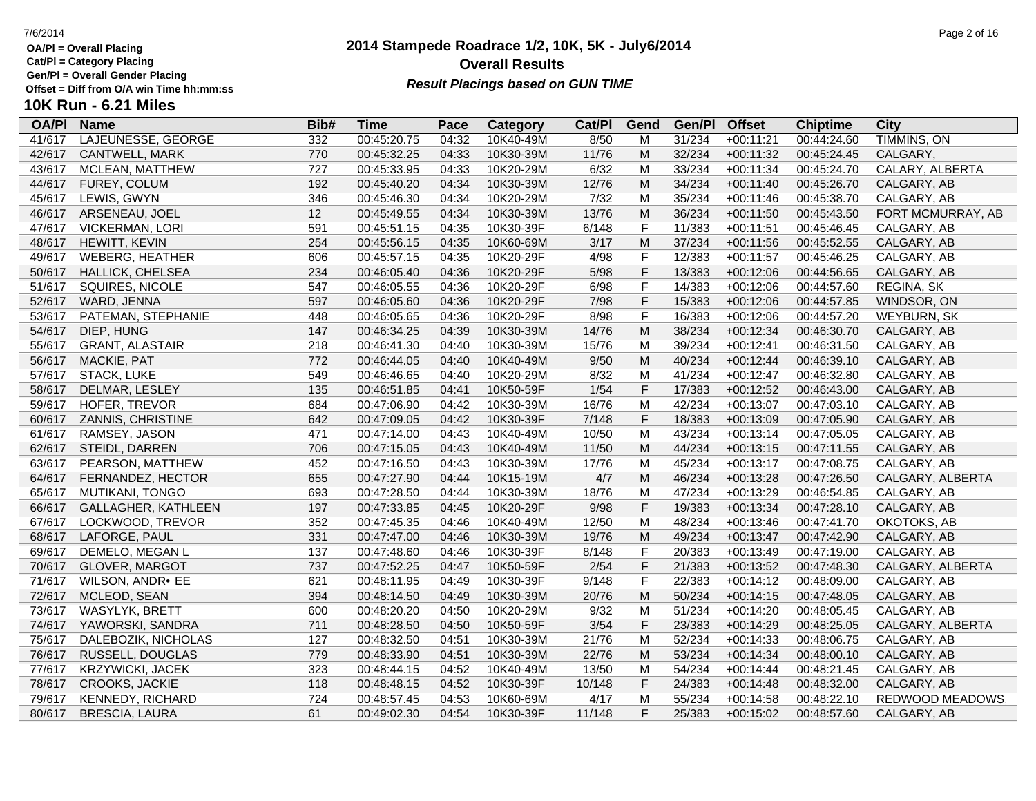**Cat/Pl = Category Placing**

**Gen/Pl = Overall Gender Placing**

### **2014 Stampede Roadrace 1/2, 10K, 5K - July6/2014** 7/6/2014 Page 2 of 16 **Overall Results** Gen/PI = Overall Gender Placing<br>Offset = Diff from O/A win Time hh:mm:ss *Result Placings based on GUN TIME*

| <b>OA/PI</b> | <b>Name</b>             | Bib# | Time        | Pace  | Category  | Cat/PI | Gend                                                                                  | Gen/Pl | <b>Offset</b> | <b>Chiptime</b> | City               |
|--------------|-------------------------|------|-------------|-------|-----------|--------|---------------------------------------------------------------------------------------|--------|---------------|-----------------|--------------------|
| 41/617       | LAJEUNESSE, GEORGE      | 332  | 00:45:20.75 | 04:32 | 10K40-49M | 8/50   | M                                                                                     | 31/234 | $+00:11:21$   | 00:44:24.60     | <b>TIMMINS, ON</b> |
| 42/617       | CANTWELL, MARK          | 770  | 00:45:32.25 | 04:33 | 10K30-39M | 11/76  | M                                                                                     | 32/234 | $+00:11:32$   | 00:45:24.45     | CALGARY,           |
| 43/617       | MCLEAN, MATTHEW         | 727  | 00:45:33.95 | 04:33 | 10K20-29M | 6/32   | M                                                                                     | 33/234 | $+00:11:34$   | 00:45:24.70     | CALARY, ALBERTA    |
| 44/617       | FUREY, COLUM            | 192  | 00:45:40.20 | 04:34 | 10K30-39M | 12/76  | M                                                                                     | 34/234 | $+00:11:40$   | 00:45:26.70     | CALGARY, AB        |
| 45/617       | LEWIS, GWYN             | 346  | 00:45:46.30 | 04:34 | 10K20-29M | 7/32   | M                                                                                     | 35/234 | $+00:11:46$   | 00:45:38.70     | CALGARY, AB        |
| 46/617       | ARSENEAU, JOEL          | 12   | 00:45:49.55 | 04:34 | 10K30-39M | 13/76  | M                                                                                     | 36/234 | $+00:11:50$   | 00:45:43.50     | FORT MCMURRAY, AB  |
| 47/617       | <b>VICKERMAN, LORI</b>  | 591  | 00:45:51.15 | 04:35 | 10K30-39F | 6/148  | F                                                                                     | 11/383 | $+00:11:51$   | 00:45:46.45     | CALGARY, AB        |
| 48/617       | HEWITT, KEVIN           | 254  | 00:45:56.15 | 04:35 | 10K60-69M | 3/17   | M                                                                                     | 37/234 | $+00:11:56$   | 00:45:52.55     | CALGARY, AB        |
| 49/617       | <b>WEBERG, HEATHER</b>  | 606  | 00:45:57.15 | 04:35 | 10K20-29F | 4/98   | F                                                                                     | 12/383 | $+00:11:57$   | 00:45:46.25     | CALGARY, AB        |
| 50/617       | HALLICK, CHELSEA        | 234  | 00:46:05.40 | 04:36 | 10K20-29F | 5/98   | F                                                                                     | 13/383 | $+00:12:06$   | 00:44:56.65     | CALGARY, AB        |
| 51/617       | SQUIRES, NICOLE         | 547  | 00:46:05.55 | 04:36 | 10K20-29F | 6/98   | F                                                                                     | 14/383 | $+00:12:06$   | 00:44:57.60     | REGINA, SK         |
| 52/617       | WARD, JENNA             | 597  | 00:46:05.60 | 04:36 | 10K20-29F | 7/98   | F                                                                                     | 15/383 | $+00:12:06$   | 00:44:57.85     | WINDSOR, ON        |
| 53/617       | PATEMAN, STEPHANIE      | 448  | 00:46:05.65 | 04:36 | 10K20-29F | 8/98   | F                                                                                     | 16/383 | $+00:12:06$   | 00:44:57.20     | <b>WEYBURN, SK</b> |
| 54/617       | DIEP, HUNG              | 147  | 00:46:34.25 | 04:39 | 10K30-39M | 14/76  | $\mathsf{M}% _{T}=\mathsf{M}_{T}\!\left( a,b\right) ,\ \mathsf{M}_{T}=\mathsf{M}_{T}$ | 38/234 | $+00:12:34$   | 00:46:30.70     | CALGARY, AB        |
| 55/617       | <b>GRANT, ALASTAIR</b>  | 218  | 00:46:41.30 | 04:40 | 10K30-39M | 15/76  | M                                                                                     | 39/234 | $+00:12:41$   | 00:46:31.50     | CALGARY, AB        |
| 56/617       | MACKIE, PAT             | 772  | 00:46:44.05 | 04:40 | 10K40-49M | 9/50   | M                                                                                     | 40/234 | $+00:12:44$   | 00:46:39.10     | CALGARY, AB        |
| 57/617       | <b>STACK, LUKE</b>      | 549  | 00:46:46.65 | 04:40 | 10K20-29M | 8/32   | M                                                                                     | 41/234 | $+00:12:47$   | 00:46:32.80     | CALGARY, AB        |
| 58/617       | DELMAR, LESLEY          | 135  | 00:46:51.85 | 04:41 | 10K50-59F | 1/54   | F                                                                                     | 17/383 | $+00:12:52$   | 00:46:43.00     | CALGARY, AB        |
| 59/617       | HOFER, TREVOR           | 684  | 00:47:06.90 | 04:42 | 10K30-39M | 16/76  | M                                                                                     | 42/234 | $+00:13:07$   | 00:47:03.10     | CALGARY, AB        |
| 60/617       | ZANNIS, CHRISTINE       | 642  | 00:47:09.05 | 04:42 | 10K30-39F | 7/148  | F                                                                                     | 18/383 | $+00:13:09$   | 00:47:05.90     | CALGARY, AB        |
| 61/617       | RAMSEY, JASON           | 471  | 00:47:14.00 | 04:43 | 10K40-49M | 10/50  | M                                                                                     | 43/234 | $+00:13:14$   | 00:47:05.05     | CALGARY, AB        |
| 62/617       | STEIDL, DARREN          | 706  | 00:47:15.05 | 04:43 | 10K40-49M | 11/50  | M                                                                                     | 44/234 | $+00:13:15$   | 00:47:11.55     | CALGARY, AB        |
| 63/617       | PEARSON, MATTHEW        | 452  | 00:47:16.50 | 04:43 | 10K30-39M | 17/76  | м                                                                                     | 45/234 | $+00:13:17$   | 00:47:08.75     | CALGARY, AB        |
| 64/617       | FERNANDEZ, HECTOR       | 655  | 00:47:27.90 | 04:44 | 10K15-19M | 4/7    | M                                                                                     | 46/234 | $+00:13:28$   | 00:47:26.50     | CALGARY, ALBERTA   |
| 65/617       | <b>MUTIKANI, TONGO</b>  | 693  | 00:47:28.50 | 04:44 | 10K30-39M | 18/76  | M                                                                                     | 47/234 | $+00:13:29$   | 00:46:54.85     | CALGARY, AB        |
| 66/617       | GALLAGHER, KATHLEEN     | 197  | 00:47:33.85 | 04:45 | 10K20-29F | 9/98   | F                                                                                     | 19/383 | $+00:13:34$   | 00:47:28.10     | CALGARY, AB        |
| 67/617       | LOCKWOOD, TREVOR        | 352  | 00:47:45.35 | 04:46 | 10K40-49M | 12/50  | M                                                                                     | 48/234 | $+00:13:46$   | 00:47:41.70     | OKOTOKS, AB        |
| 68/617       | LAFORGE, PAUL           | 331  | 00:47:47.00 | 04:46 | 10K30-39M | 19/76  | M                                                                                     | 49/234 | $+00:13:47$   | 00:47:42.90     | CALGARY, AB        |
| 69/617       | DEMELO, MEGAN L         | 137  | 00:47:48.60 | 04:46 | 10K30-39F | 8/148  | F                                                                                     | 20/383 | $+00:13:49$   | 00:47:19.00     | CALGARY, AB        |
| 70/617       | <b>GLOVER, MARGOT</b>   | 737  | 00:47:52.25 | 04:47 | 10K50-59F | 2/54   | F                                                                                     | 21/383 | $+00:13:52$   | 00:47:48.30     | CALGARY, ALBERTA   |
| 71/617       | WILSON, ANDR• EE        | 621  | 00:48:11.95 | 04:49 | 10K30-39F | 9/148  | F                                                                                     | 22/383 | $+00:14:12$   | 00:48:09.00     | CALGARY, AB        |
| 72/617       | MCLEOD, SEAN            | 394  | 00:48:14.50 | 04:49 | 10K30-39M | 20/76  | M                                                                                     | 50/234 | $+00:14:15$   | 00:47:48.05     | CALGARY, AB        |
| 73/617       | WASYLYK, BRETT          | 600  | 00:48:20.20 | 04:50 | 10K20-29M | 9/32   | M                                                                                     | 51/234 | $+00:14:20$   | 00:48:05.45     | CALGARY, AB        |
| 74/617       | YAWORSKI, SANDRA        | 711  | 00:48:28.50 | 04:50 | 10K50-59F | 3/54   | F                                                                                     | 23/383 | $+00:14:29$   | 00:48:25.05     | CALGARY, ALBERTA   |
| 75/617       | DALEBOZIK, NICHOLAS     | 127  | 00:48:32.50 | 04:51 | 10K30-39M | 21/76  | M                                                                                     | 52/234 | $+00:14:33$   | 00:48:06.75     | CALGARY, AB        |
| 76/617       | RUSSELL, DOUGLAS        | 779  | 00:48:33.90 | 04:51 | 10K30-39M | 22/76  | M                                                                                     | 53/234 | $+00:14:34$   | 00:48:00.10     | CALGARY, AB        |
| 77/617       | <b>KRZYWICKI, JACEK</b> | 323  | 00:48:44.15 | 04:52 | 10K40-49M | 13/50  | м                                                                                     | 54/234 | $+00:14:44$   | 00:48:21.45     | CALGARY, AB        |
| 78/617       | CROOKS, JACKIE          | 118  | 00:48:48.15 | 04:52 | 10K30-39F | 10/148 | F                                                                                     | 24/383 | $+00:14:48$   | 00:48:32.00     | CALGARY, AB        |
| 79/617       | <b>KENNEDY, RICHARD</b> | 724  | 00:48:57.45 | 04:53 | 10K60-69M | 4/17   | M                                                                                     | 55/234 | $+00:14:58$   | 00:48:22.10     | REDWOOD MEADOWS.   |
| 80/617       | <b>BRESCIA, LAURA</b>   | 61   | 00:49:02.30 | 04:54 | 10K30-39F | 11/148 | F                                                                                     | 25/383 | $+00:15:02$   | 00:48:57.60     | CALGARY, AB        |
|              |                         |      |             |       |           |        |                                                                                       |        |               |                 |                    |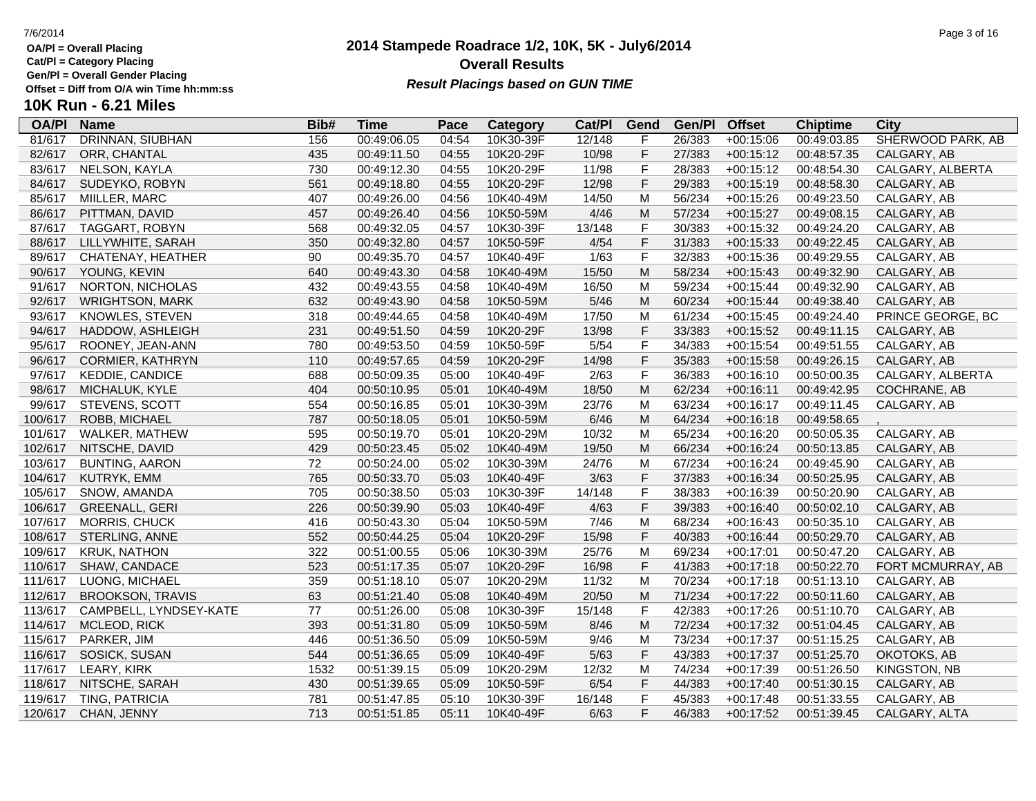**Cat/Pl = Category Placing**

**Gen/Pl = Overall Gender Placing**

### **2014 Stampede Roadrace 1/2, 10K, 5K - July6/2014** 7/6/2014 Page 3 of 16 **Overall Results** Gen/PI = Overall Gender Placing<br>Offset = Diff from O/A win Time hh:mm:ss *Result Placings based on GUN TIME*

| <b>OA/PI</b> | <b>Name</b>             | Bib# | <b>Time</b> | Pace  | Category  | Cat/PI | Gend           | Gen/Pl | <b>Offset</b> | <b>Chiptime</b> | City                |
|--------------|-------------------------|------|-------------|-------|-----------|--------|----------------|--------|---------------|-----------------|---------------------|
| 81/617       | DRINNAN, SIUBHAN        | 156  | 00:49:06.05 | 04:54 | 10K30-39F | 12/148 | F              | 26/383 | $+00:15:06$   | 00:49:03.85     | SHERWOOD PARK, AB   |
| 82/617       | ORR, CHANTAL            | 435  | 00:49:11.50 | 04:55 | 10K20-29F | 10/98  | $\mathsf F$    | 27/383 | $+00:15:12$   | 00:48:57.35     | CALGARY, AB         |
| 83/617       | NELSON, KAYLA           | 730  | 00:49:12.30 | 04:55 | 10K20-29F | 11/98  | F              | 28/383 | $+00:15:12$   | 00:48:54.30     | CALGARY, ALBERTA    |
| 84/617       | SUDEYKO, ROBYN          | 561  | 00:49:18.80 | 04:55 | 10K20-29F | 12/98  | $\mathsf F$    | 29/383 | $+00:15:19$   | 00:48:58.30     | CALGARY, AB         |
| 85/617       | MIILLER, MARC           | 407  | 00:49:26.00 | 04:56 | 10K40-49M | 14/50  | M              | 56/234 | $+00:15:26$   | 00:49:23.50     | CALGARY, AB         |
| 86/617       | PITTMAN, DAVID          | 457  | 00:49:26.40 | 04:56 | 10K50-59M | 4/46   | M              | 57/234 | $+00:15:27$   | 00:49:08.15     | CALGARY, AB         |
| 87/617       | TAGGART, ROBYN          | 568  | 00:49:32.05 | 04:57 | 10K30-39F | 13/148 | $\mathsf F$    | 30/383 | $+00:15:32$   | 00:49:24.20     | CALGARY, AB         |
| 88/617       | LILLYWHITE, SARAH       | 350  | 00:49:32.80 | 04:57 | 10K50-59F | 4/54   | $\mathsf F$    | 31/383 | $+00:15:33$   | 00:49:22.45     | CALGARY, AB         |
| 89/617       | CHATENAY, HEATHER       | 90   | 00:49:35.70 | 04:57 | 10K40-49F | 1/63   | $\mathsf F$    | 32/383 | $+00:15:36$   | 00:49:29.55     | CALGARY, AB         |
| 90/617       | YOUNG, KEVIN            | 640  | 00:49:43.30 | 04:58 | 10K40-49M | 15/50  | ${\sf M}$      | 58/234 | $+00:15:43$   | 00:49:32.90     | CALGARY, AB         |
| 91/617       | NORTON, NICHOLAS        | 432  | 00:49:43.55 | 04:58 | 10K40-49M | 16/50  | M              | 59/234 | $+00:15:44$   | 00:49:32.90     | CALGARY, AB         |
| 92/617       | <b>WRIGHTSON, MARK</b>  | 632  | 00:49:43.90 | 04:58 | 10K50-59M | $5/46$ | M              | 60/234 | $+00:15:44$   | 00:49:38.40     | CALGARY, AB         |
| 93/617       | KNOWLES, STEVEN         | 318  | 00:49:44.65 | 04:58 | 10K40-49M | 17/50  | M              | 61/234 | $+00:15:45$   | 00:49:24.40     | PRINCE GEORGE, BC   |
| 94/617       | HADDOW, ASHLEIGH        | 231  | 00:49:51.50 | 04:59 | 10K20-29F | 13/98  | $\mathsf F$    | 33/383 | $+00:15:52$   | 00:49:11.15     | CALGARY, AB         |
| 95/617       | ROONEY, JEAN-ANN        | 780  | 00:49:53.50 | 04:59 | 10K50-59F | 5/54   | $\mathsf F$    | 34/383 | $+00:15:54$   | 00:49:51.55     | CALGARY, AB         |
| 96/617       | CORMIER, KATHRYN        | 110  | 00:49:57.65 | 04:59 | 10K20-29F | 14/98  | $\mathsf F$    | 35/383 | $+00:15:58$   | 00:49:26.15     | CALGARY, AB         |
| 97/617       | <b>KEDDIE, CANDICE</b>  | 688  | 00:50:09.35 | 05:00 | 10K40-49F | 2/63   | $\overline{F}$ | 36/383 | $+00:16:10$   | 00:50:00.35     | CALGARY, ALBERTA    |
| 98/617       | MICHALUK, KYLE          | 404  | 00:50:10.95 | 05:01 | 10K40-49M | 18/50  | M              | 62/234 | $+00:16:11$   | 00:49:42.95     | COCHRANE, AB        |
| 99/617       | STEVENS, SCOTT          | 554  | 00:50:16.85 | 05:01 | 10K30-39M | 23/76  | M              | 63/234 | $+00:16:17$   | 00:49:11.45     | CALGARY, AB         |
| 100/617      | ROBB, MICHAEL           | 787  | 00:50:18.05 | 05:01 | 10K50-59M | 6/46   | M              | 64/234 | $+00:16:18$   | 00:49:58.65     |                     |
| 101/617      | WALKER, MATHEW          | 595  | 00:50:19.70 | 05:01 | 10K20-29M | 10/32  | M              | 65/234 | $+00:16:20$   | 00:50:05.35     | CALGARY, AB         |
| 102/617      | NITSCHE, DAVID          | 429  | 00:50:23.45 | 05:02 | 10K40-49M | 19/50  | M              | 66/234 | $+00:16:24$   | 00:50:13.85     | CALGARY, AB         |
| 103/617      | <b>BUNTING, AARON</b>   | 72   | 00:50:24.00 | 05:02 | 10K30-39M | 24/76  | M              | 67/234 | $+00:16:24$   | 00:49:45.90     | CALGARY, AB         |
| 104/617      | <b>KUTRYK, EMM</b>      | 765  | 00:50:33.70 | 05:03 | 10K40-49F | 3/63   | $\mathsf F$    | 37/383 | $+00:16:34$   | 00:50:25.95     | CALGARY, AB         |
| 105/617      | SNOW, AMANDA            | 705  | 00:50:38.50 | 05:03 | 10K30-39F | 14/148 | F              | 38/383 | $+00:16:39$   | 00:50:20.90     | CALGARY, AB         |
| 106/617      | <b>GREENALL, GERI</b>   | 226  | 00:50:39.90 | 05:03 | 10K40-49F | 4/63   | $\mathsf F$    | 39/383 | $+00:16:40$   | 00:50:02.10     | CALGARY, AB         |
| 107/617      | MORRIS, CHUCK           | 416  | 00:50:43.30 | 05:04 | 10K50-59M | 7/46   | M              | 68/234 | $+00:16:43$   | 00:50:35.10     | CALGARY, AB         |
| 108/617      | STERLING, ANNE          | 552  | 00:50:44.25 | 05:04 | 10K20-29F | 15/98  | $\mathsf F$    | 40/383 | $+00:16:44$   | 00:50:29.70     | CALGARY, AB         |
| 109/617      | <b>KRUK, NATHON</b>     | 322  | 00:51:00.55 | 05:06 | 10K30-39M | 25/76  | M              | 69/234 | $+00:17:01$   | 00:50:47.20     | CALGARY, AB         |
| 110/617      | SHAW, CANDACE           | 523  | 00:51:17.35 | 05:07 | 10K20-29F | 16/98  | $\mathsf F$    | 41/383 | $+00:17:18$   | 00:50:22.70     | FORT MCMURRAY, AB   |
| 111/617      | LUONG, MICHAEL          | 359  | 00:51:18.10 | 05:07 | 10K20-29M | 11/32  | M              | 70/234 | $+00:17:18$   | 00:51:13.10     | CALGARY, AB         |
| 112/617      | <b>BROOKSON, TRAVIS</b> | 63   | 00:51:21.40 | 05:08 | 10K40-49M | 20/50  | M              | 71/234 | $+00:17:22$   | 00:50:11.60     | CALGARY, AB         |
| 113/617      | CAMPBELL, LYNDSEY-KATE  | 77   | 00:51:26.00 | 05:08 | 10K30-39F | 15/148 | $\mathsf F$    | 42/383 | $+00:17:26$   | 00:51:10.70     | CALGARY, AB         |
| 114/617      | MCLEOD, RICK            | 393  | 00:51:31.80 | 05:09 | 10K50-59M | 8/46   | M              | 72/234 | $+00:17:32$   | 00:51:04.45     | CALGARY, AB         |
| 115/617      | PARKER, JIM             | 446  | 00:51:36.50 | 05:09 | 10K50-59M | 9/46   | M              | 73/234 | $+00:17:37$   | 00:51:15.25     | CALGARY, AB         |
| 116/617      | SOSICK, SUSAN           | 544  | 00:51:36.65 | 05:09 | 10K40-49F | $5/63$ | $\mathsf F$    | 43/383 | $+00:17:37$   | 00:51:25.70     | OKOTOKS, AB         |
| 117/617      | <b>LEARY, KIRK</b>      | 1532 | 00:51:39.15 | 05:09 | 10K20-29M | 12/32  | M              | 74/234 | $+00:17:39$   | 00:51:26.50     | <b>KINGSTON, NB</b> |
| 118/617      | NITSCHE, SARAH          | 430  | 00:51:39.65 | 05:09 | 10K50-59F | 6/54   | $\mathsf F$    | 44/383 | $+00:17:40$   | 00:51:30.15     | CALGARY, AB         |
| 119/617      | TING, PATRICIA          | 781  | 00:51:47.85 | 05:10 | 10K30-39F | 16/148 | F              | 45/383 | $+00:17:48$   | 00:51:33.55     | CALGARY, AB         |
| 120/617      | CHAN, JENNY             | 713  | 00:51:51.85 | 05:11 | 10K40-49F | 6/63   | F              | 46/383 | $+00:17:52$   | 00:51:39.45     | CALGARY, ALTA       |
|              |                         |      |             |       |           |        |                |        |               |                 |                     |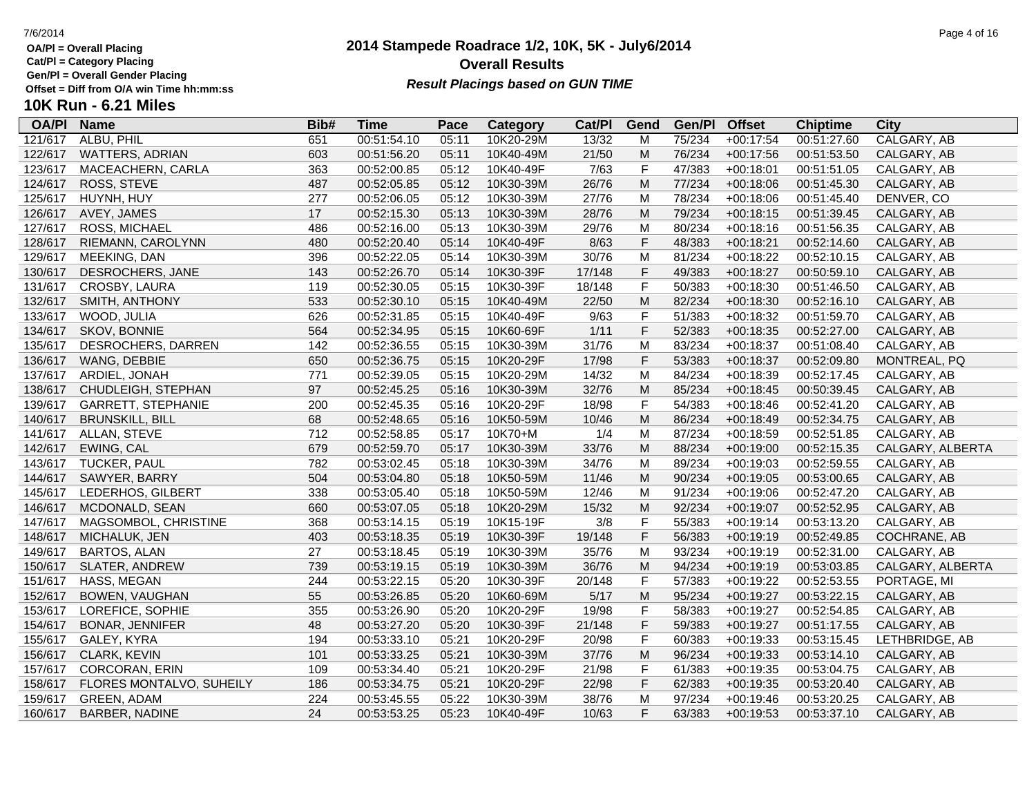**Cat/Pl = Category Placing**

**Gen/Pl = Overall Gender Placing**

## **2014 Stampede Roadrace 1/2, 10K, 5K - July6/2014 Overall Results Result Placings based on GUN TIME**

| <b>OA/PI</b> | <b>Name</b>               | Bib# | Time        | Pace  | Category  | Cat/PI | Gend                                                                                  | Gen/Pl | <b>Offset</b> | <b>Chiptime</b> | City             |
|--------------|---------------------------|------|-------------|-------|-----------|--------|---------------------------------------------------------------------------------------|--------|---------------|-----------------|------------------|
| 121/617      | ALBU, PHIL                | 651  | 00:51:54.10 | 05:11 | 10K20-29M | 13/32  | M                                                                                     | 75/234 | $+00:17:54$   | 00:51:27.60     | CALGARY, AB      |
| 122/617      | <b>WATTERS, ADRIAN</b>    | 603  | 00:51:56.20 | 05:11 | 10K40-49M | 21/50  | M                                                                                     | 76/234 | $+00:17:56$   | 00:51:53.50     | CALGARY, AB      |
| 123/617      | MACEACHERN, CARLA         | 363  | 00:52:00.85 | 05:12 | 10K40-49F | 7/63   | F                                                                                     | 47/383 | $+00:18:01$   | 00:51:51.05     | CALGARY, AB      |
| 124/617      | ROSS, STEVE               | 487  | 00:52:05.85 | 05:12 | 10K30-39M | 26/76  | ${\sf M}$                                                                             | 77/234 | $+00:18:06$   | 00:51:45.30     | CALGARY, AB      |
| 125/617      | HUYNH, HUY                | 277  | 00:52:06.05 | 05:12 | 10K30-39M | 27/76  | M                                                                                     | 78/234 | $+00:18:06$   | 00:51:45.40     | DENVER, CO       |
| 126/617      | AVEY, JAMES               | 17   | 00:52:15.30 | 05:13 | 10K30-39M | 28/76  | M                                                                                     | 79/234 | $+00:18:15$   | 00:51:39.45     | CALGARY, AB      |
| 127/617      | <b>ROSS, MICHAEL</b>      | 486  | 00:52:16.00 | 05:13 | 10K30-39M | 29/76  | M                                                                                     | 80/234 | $+00:18:16$   | 00:51:56.35     | CALGARY, AB      |
| 128/617      | RIEMANN, CAROLYNN         | 480  | 00:52:20.40 | 05:14 | 10K40-49F | 8/63   | F                                                                                     | 48/383 | $+00:18:21$   | 00:52:14.60     | CALGARY, AB      |
| 129/617      | MEEKING, DAN              | 396  | 00:52:22.05 | 05:14 | 10K30-39M | 30/76  | M                                                                                     | 81/234 | $+00:18:22$   | 00:52:10.15     | CALGARY, AB      |
| 130/617      | DESROCHERS, JANE          | 143  | 00:52:26.70 | 05:14 | 10K30-39F | 17/148 | $\mathsf F$                                                                           | 49/383 | $+00:18:27$   | 00:50:59.10     | CALGARY, AB      |
| 131/617      | CROSBY, LAURA             | 119  | 00:52:30.05 | 05:15 | 10K30-39F | 18/148 | F                                                                                     | 50/383 | $+00:18:30$   | 00:51:46.50     | CALGARY, AB      |
| 132/617      | SMITH, ANTHONY            | 533  | 00:52:30.10 | 05:15 | 10K40-49M | 22/50  | ${\sf M}$                                                                             | 82/234 | $+00:18:30$   | 00:52:16.10     | CALGARY, AB      |
| 133/617      | WOOD, JULIA               | 626  | 00:52:31.85 | 05:15 | 10K40-49F | 9/63   | F                                                                                     | 51/383 | $+00:18:32$   | 00:51:59.70     | CALGARY, AB      |
| 134/617      | SKOV, BONNIE              | 564  | 00:52:34.95 | 05:15 | 10K60-69F | 1/11   | F                                                                                     | 52/383 | $+00:18:35$   | 00:52:27.00     | CALGARY, AB      |
| 135/617      | DESROCHERS, DARREN        | 142  | 00:52:36.55 | 05:15 | 10K30-39M | 31/76  | M                                                                                     | 83/234 | $+00:18:37$   | 00:51:08.40     | CALGARY, AB      |
| 136/617      | <b>WANG, DEBBIE</b>       | 650  | 00:52:36.75 | 05:15 | 10K20-29F | 17/98  | F                                                                                     | 53/383 | $+00:18:37$   | 00:52:09.80     | MONTREAL, PQ     |
| 137/617      | ARDIEL, JONAH             | 771  | 00:52:39.05 | 05:15 | 10K20-29M | 14/32  | M                                                                                     | 84/234 | $+00:18:39$   | 00:52:17.45     | CALGARY, AB      |
| 138/617      | CHUDLEIGH, STEPHAN        | 97   | 00:52:45.25 | 05:16 | 10K30-39M | 32/76  | ${\sf M}$                                                                             | 85/234 | $+00:18:45$   | 00:50:39.45     | CALGARY, AB      |
| 139/617      | <b>GARRETT, STEPHANIE</b> | 200  | 00:52:45.35 | 05:16 | 10K20-29F | 18/98  | F                                                                                     | 54/383 | $+00:18:46$   | 00:52:41.20     | CALGARY, AB      |
| 140/617      | <b>BRUNSKILL, BILL</b>    | 68   | 00:52:48.65 | 05:16 | 10K50-59M | 10/46  | ${\sf M}$                                                                             | 86/234 | $+00:18:49$   | 00:52:34.75     | CALGARY, AB      |
| 141/617      | ALLAN, STEVE              | 712  | 00:52:58.85 | 05:17 | 10K70+M   | 1/4    | M                                                                                     | 87/234 | $+00:18:59$   | 00:52:51.85     | CALGARY, AB      |
| 142/617      | EWING, CAL                | 679  | 00:52:59.70 | 05:17 | 10K30-39M | 33/76  | M                                                                                     | 88/234 | $+00:19:00$   | 00:52:15.35     | CALGARY, ALBERTA |
| 143/617      | <b>TUCKER, PAUL</b>       | 782  | 00:53:02.45 | 05:18 | 10K30-39M | 34/76  | M                                                                                     | 89/234 | $+00:19:03$   | 00:52:59.55     | CALGARY, AB      |
| 144/617      | SAWYER, BARRY             | 504  | 00:53:04.80 | 05:18 | 10K50-59M | 11/46  | ${\sf M}$                                                                             | 90/234 | $+00:19:05$   | 00:53:00.65     | CALGARY, AB      |
| 145/617      | LEDERHOS, GILBERT         | 338  | 00:53:05.40 | 05:18 | 10K50-59M | 12/46  | M                                                                                     | 91/234 | $+00:19:06$   | 00:52:47.20     | CALGARY, AB      |
| 146/617      | MCDONALD, SEAN            | 660  | 00:53:07.05 | 05:18 | 10K20-29M | 15/32  | M                                                                                     | 92/234 | $+00:19:07$   | 00:52:52.95     | CALGARY, AB      |
| 147/617      | MAGSOMBOL, CHRISTINE      | 368  | 00:53:14.15 | 05:19 | 10K15-19F | 3/8    | F                                                                                     | 55/383 | $+00:19:14$   | 00:53:13.20     | CALGARY, AB      |
| 148/617      | MICHALUK, JEN             | 403  | 00:53:18.35 | 05:19 | 10K30-39F | 19/148 | F                                                                                     | 56/383 | $+00:19:19$   | 00:52:49.85     | COCHRANE, AB     |
| 149/617      | <b>BARTOS, ALAN</b>       | 27   | 00:53:18.45 | 05:19 | 10K30-39M | 35/76  | M                                                                                     | 93/234 | $+00:19:19$   | 00:52:31.00     | CALGARY, AB      |
| 150/617      | <b>SLATER, ANDREW</b>     | 739  | 00:53:19.15 | 05:19 | 10K30-39M | 36/76  | ${\sf M}$                                                                             | 94/234 | $+00:19:19$   | 00:53:03.85     | CALGARY, ALBERTA |
| 151/617      | HASS, MEGAN               | 244  | 00:53:22.15 | 05:20 | 10K30-39F | 20/148 | F                                                                                     | 57/383 | $+00:19:22$   | 00:52:53.55     | PORTAGE, MI      |
| 152/617      | <b>BOWEN, VAUGHAN</b>     | 55   | 00:53:26.85 | 05:20 | 10K60-69M | 5/17   | $\mathsf{M}% _{T}=\mathsf{M}_{T}\!\left( a,b\right) ,\ \mathsf{M}_{T}=\mathsf{M}_{T}$ | 95/234 | $+00:19:27$   | 00:53:22.15     | CALGARY, AB      |
| 153/617      | LOREFICE, SOPHIE          | 355  | 00:53:26.90 | 05:20 | 10K20-29F | 19/98  | F                                                                                     | 58/383 | $+00:19:27$   | 00:52:54.85     | CALGARY, AB      |
| 154/617      | <b>BONAR, JENNIFER</b>    | 48   | 00:53:27.20 | 05:20 | 10K30-39F | 21/148 | F                                                                                     | 59/383 | $+00:19:27$   | 00:51:17.55     | CALGARY, AB      |
| 155/617      | GALEY, KYRA               | 194  | 00:53:33.10 | 05:21 | 10K20-29F | 20/98  | F                                                                                     | 60/383 | $+00:19:33$   | 00:53:15.45     | LETHBRIDGE, AB   |
| 156/617      | CLARK, KEVIN              | 101  | 00:53:33.25 | 05:21 | 10K30-39M | 37/76  | ${\sf M}$                                                                             | 96/234 | $+00:19:33$   | 00:53:14.10     | CALGARY, AB      |
| 157/617      | CORCORAN, ERIN            | 109  | 00:53:34.40 | 05:21 | 10K20-29F | 21/98  | F                                                                                     | 61/383 | $+00:19:35$   | 00:53:04.75     | CALGARY, AB      |
| 158/617      | FLORES MONTALVO, SUHEILY  | 186  | 00:53:34.75 | 05:21 | 10K20-29F | 22/98  | F                                                                                     | 62/383 | $+00:19:35$   | 00:53:20.40     | CALGARY, AB      |
| 159/617      | <b>GREEN, ADAM</b>        | 224  | 00:53:45.55 | 05:22 | 10K30-39M | 38/76  | M                                                                                     | 97/234 | $+00:19:46$   | 00:53:20.25     | CALGARY, AB      |
| 160/617      | <b>BARBER, NADINE</b>     | 24   | 00:53:53.25 | 05:23 | 10K40-49F | 10/63  | F                                                                                     | 63/383 | $+00:19:53$   | 00:53:37.10     | CALGARY, AB      |
|              |                           |      |             |       |           |        |                                                                                       |        |               |                 |                  |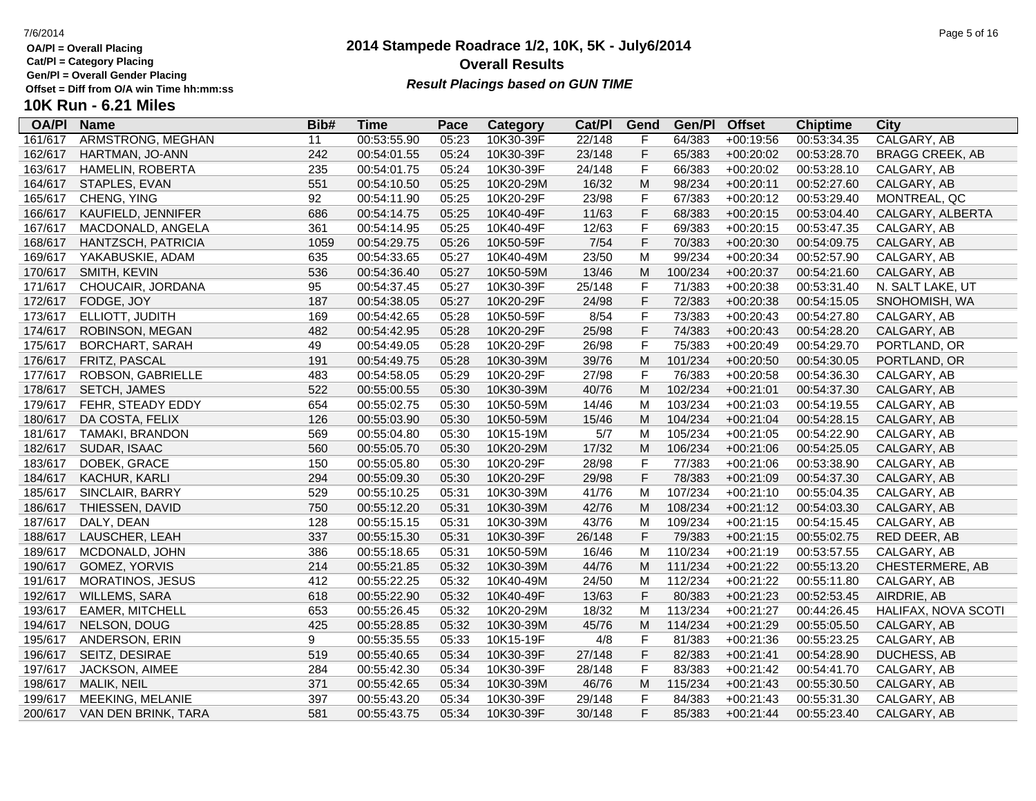**Cat/Pl = Category Placing**

**Gen/Pl = Overall Gender Placing**

### **2014 Stampede Roadrace 1/2, 10K, 5K - July6/2014** 7/6/2014 Page 5 of 16 **Overall Results Result Placings based on GUN TIME**

| <b>OA/PI</b> | <b>Name</b>            | Bib# | <b>Time</b> | Pace  | Category  | Cat/PI | Gend         | Gen/Pl  | <b>Offset</b> | <b>Chiptime</b> | City                   |
|--------------|------------------------|------|-------------|-------|-----------|--------|--------------|---------|---------------|-----------------|------------------------|
| 161/617      | ARMSTRONG, MEGHAN      | 11   | 00:53:55.90 | 05:23 | 10K30-39F | 22/148 | F            | 64/383  | $+00:19:56$   | 00:53:34.35     | CALGARY, AB            |
| 162/617      | HARTMAN, JO-ANN        | 242  | 00:54:01.55 | 05:24 | 10K30-39F | 23/148 | F            | 65/383  | $+00:20:02$   | 00:53:28.70     | <b>BRAGG CREEK, AB</b> |
| 163/617      | HAMELIN, ROBERTA       | 235  | 00:54:01.75 | 05:24 | 10K30-39F | 24/148 | F            | 66/383  | $+00:20:02$   | 00:53:28.10     | CALGARY, AB            |
| 164/617      | STAPLES, EVAN          | 551  | 00:54:10.50 | 05:25 | 10K20-29M | 16/32  | M            | 98/234  | $+00:20:11$   | 00:52:27.60     | CALGARY, AB            |
| 165/617      | CHENG, YING            | 92   | 00:54:11.90 | 05:25 | 10K20-29F | 23/98  | F            | 67/383  | $+00:20:12$   | 00:53:29.40     | MONTREAL, QC           |
| 166/617      | KAUFIELD, JENNIFER     | 686  | 00:54:14.75 | 05:25 | 10K40-49F | 11/63  | F            | 68/383  | $+00:20:15$   | 00:53:04.40     | CALGARY, ALBERTA       |
| 167/617      | MACDONALD, ANGELA      | 361  | 00:54:14.95 | 05:25 | 10K40-49F | 12/63  | F            | 69/383  | $+00:20:15$   | 00:53:47.35     | CALGARY, AB            |
| 168/617      | HANTZSCH, PATRICIA     | 1059 | 00:54:29.75 | 05:26 | 10K50-59F | $7/54$ | F            | 70/383  | $+00:20:30$   | 00:54:09.75     | CALGARY, AB            |
| 169/617      | YAKABUSKIE, ADAM       | 635  | 00:54:33.65 | 05:27 | 10K40-49M | 23/50  | M            | 99/234  | $+00:20:34$   | 00:52:57.90     | CALGARY, AB            |
| 170/617      | SMITH, KEVIN           | 536  | 00:54:36.40 | 05:27 | 10K50-59M | 13/46  | M            | 100/234 | $+00:20:37$   | 00:54:21.60     | CALGARY, AB            |
| 171/617      | CHOUCAIR, JORDANA      | 95   | 00:54:37.45 | 05:27 | 10K30-39F | 25/148 | F            | 71/383  | $+00:20:38$   | 00:53:31.40     | N. SALT LAKE, UT       |
| 172/617      | FODGE, JOY             | 187  | 00:54:38.05 | 05:27 | 10K20-29F | 24/98  | F            | 72/383  | $+00:20:38$   | 00:54:15.05     | SNOHOMISH, WA          |
| 173/617      | ELLIOTT, JUDITH        | 169  | 00:54:42.65 | 05:28 | 10K50-59F | 8/54   | F            | 73/383  | $+00:20:43$   | 00:54:27.80     | CALGARY, AB            |
| 174/617      | ROBINSON, MEGAN        | 482  | 00:54:42.95 | 05:28 | 10K20-29F | 25/98  | F            | 74/383  | $+00:20:43$   | 00:54:28.20     | CALGARY, AB            |
| 175/617      | <b>BORCHART, SARAH</b> | 49   | 00:54:49.05 | 05:28 | 10K20-29F | 26/98  | $\mathsf F$  | 75/383  | $+00:20:49$   | 00:54:29.70     | PORTLAND, OR           |
| 176/617      | FRITZ, PASCAL          | 191  | 00:54:49.75 | 05:28 | 10K30-39M | 39/76  | M            | 101/234 | $+00:20:50$   | 00:54:30.05     | PORTLAND, OR           |
| 177/617      | ROBSON, GABRIELLE      | 483  | 00:54:58.05 | 05:29 | 10K20-29F | 27/98  | F            | 76/383  | $+00:20:58$   | 00:54:36.30     | CALGARY, AB            |
| 178/617      | SETCH, JAMES           | 522  | 00:55:00.55 | 05:30 | 10K30-39M | 40/76  | ${\sf M}$    | 102/234 | $+00:21:01$   | 00:54:37.30     | CALGARY, AB            |
| 179/617      | FEHR, STEADY EDDY      | 654  | 00:55:02.75 | 05:30 | 10K50-59M | 14/46  | M            | 103/234 | $+00:21:03$   | 00:54:19.55     | CALGARY, AB            |
| 180/617      | DA COSTA, FELIX        | 126  | 00:55:03.90 | 05:30 | 10K50-59M | 15/46  | M            | 104/234 | $+00:21:04$   | 00:54:28.15     | CALGARY, AB            |
| 181/617      | <b>TAMAKI, BRANDON</b> | 569  | 00:55:04.80 | 05:30 | 10K15-19M | 5/7    | M            | 105/234 | $+00:21:05$   | 00:54:22.90     | CALGARY, AB            |
| 182/617      | SUDAR, ISAAC           | 560  | 00:55:05.70 | 05:30 | 10K20-29M | 17/32  | M            | 106/234 | $+00:21:06$   | 00:54:25.05     | CALGARY, AB            |
| 183/617      | DOBEK, GRACE           | 150  | 00:55:05.80 | 05:30 | 10K20-29F | 28/98  | F            | 77/383  | $+00:21:06$   | 00:53:38.90     | CALGARY, AB            |
| 184/617      | KACHUR, KARLI          | 294  | 00:55:09.30 | 05:30 | 10K20-29F | 29/98  | F            | 78/383  | $+00:21:09$   | 00:54:37.30     | CALGARY, AB            |
| 185/617      | SINCLAIR, BARRY        | 529  | 00:55:10.25 | 05:31 | 10K30-39M | 41/76  | M            | 107/234 | $+00:21:10$   | 00:55:04.35     | CALGARY, AB            |
| 186/617      | THIESSEN, DAVID        | 750  | 00:55:12.20 | 05:31 | 10K30-39M | 42/76  | M            | 108/234 | $+00:21:12$   | 00:54:03.30     | CALGARY, AB            |
| 187/617      | DALY, DEAN             | 128  | 00:55:15.15 | 05:31 | 10K30-39M | 43/76  | M            | 109/234 | $+00:21:15$   | 00:54:15.45     | CALGARY, AB            |
| 188/617      | LAUSCHER, LEAH         | 337  | 00:55:15.30 | 05:31 | 10K30-39F | 26/148 | F            | 79/383  | $+00:21:15$   | 00:55:02.75     | RED DEER, AB           |
| 189/617      | MCDONALD, JOHN         | 386  | 00:55:18.65 | 05:31 | 10K50-59M | 16/46  | M            | 110/234 | $+00:21:19$   | 00:53:57.55     | CALGARY, AB            |
| 190/617      | GOMEZ, YORVIS          | 214  | 00:55:21.85 | 05:32 | 10K30-39M | 44/76  | M            | 111/234 | $+00:21:22$   | 00:55:13.20     | CHESTERMERE, AB        |
| 191/617      | MORATINOS, JESUS       | 412  | 00:55:22.25 | 05:32 | 10K40-49M | 24/50  | M            | 112/234 | $+00:21:22$   | 00:55:11.80     | CALGARY, AB            |
| 192/617      | WILLEMS, SARA          | 618  | 00:55:22.90 | 05:32 | 10K40-49F | 13/63  | F            | 80/383  | $+00:21:23$   | 00:52:53.45     | AIRDRIE, AB            |
| 193/617      | <b>EAMER, MITCHELL</b> | 653  | 00:55:26.45 | 05:32 | 10K20-29M | 18/32  | M            | 113/234 | $+00:21:27$   | 00:44:26.45     | HALIFAX, NOVA SCOTI    |
| 194/617      | NELSON, DOUG           | 425  | 00:55:28.85 | 05:32 | 10K30-39M | 45/76  | M            | 114/234 | $+00:21:29$   | 00:55:05.50     | CALGARY, AB            |
| 195/617      | ANDERSON, ERIN         | 9    | 00:55:35.55 | 05:33 | 10K15-19F | 4/8    | $\mathsf{F}$ | 81/383  | $+00:21:36$   | 00:55:23.25     | CALGARY, AB            |
| 196/617      | SEITZ, DESIRAE         | 519  | 00:55:40.65 | 05:34 | 10K30-39F | 27/148 | F            | 82/383  | $+00:21:41$   | 00:54:28.90     | DUCHESS, AB            |
| 197/617      | JACKSON, AIMEE         | 284  | 00:55:42.30 | 05:34 | 10K30-39F | 28/148 | F            | 83/383  | $+00:21:42$   | 00:54:41.70     | CALGARY, AB            |
| 198/617      | MALIK, NEIL            | 371  | 00:55:42.65 | 05:34 | 10K30-39M | 46/76  | M            | 115/234 | $+00:21:43$   | 00:55:30.50     | CALGARY, AB            |
| 199/617      | MEEKING, MELANIE       | 397  | 00:55:43.20 | 05:34 | 10K30-39F | 29/148 | F            | 84/383  | $+00:21:43$   | 00:55:31.30     | CALGARY, AB            |
| 200/617      | VAN DEN BRINK, TARA    | 581  | 00:55:43.75 | 05:34 | 10K30-39F | 30/148 | F            | 85/383  | $+00:21:44$   | 00:55:23.40     | CALGARY, AB            |
|              |                        |      |             |       |           |        |              |         |               |                 |                        |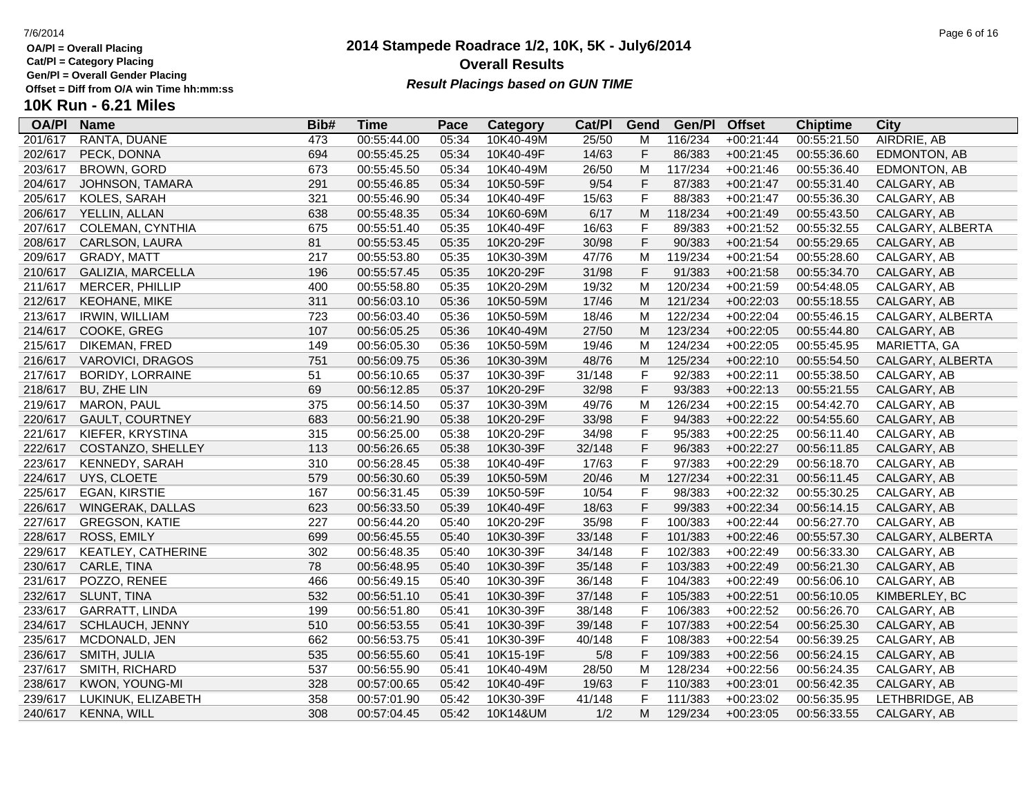**Cat/Pl = Category Placing**

**Gen/Pl = Overall Gender Placing**

### **2014 Stampede Roadrace 1/2, 10K, 5K - July6/2014** 7/6/2014 Page 6 of 16 **Overall Results** Gen/PI = Overall Gender Placing<br>Offset = Diff from O/A win Time hh:mm:ss *Result Placings based on GUN TIME*

| <b>OA/PI</b> | <b>Name</b>             | Bib# | Time        | Pace  | Category  | Cat/PI | Gend         | Gen/Pl  | <b>Offset</b> | <b>Chiptime</b> | City             |
|--------------|-------------------------|------|-------------|-------|-----------|--------|--------------|---------|---------------|-----------------|------------------|
| 201/617      | RANTA, DUANE            | 473  | 00:55:44.00 | 05:34 | 10K40-49M | 25/50  | м            | 116/234 | $+00:21:44$   | 00:55:21.50     | AIRDRIE, AB      |
| 202/617      | PECK, DONNA             | 694  | 00:55:45.25 | 05:34 | 10K40-49F | 14/63  | F            | 86/383  | $+00:21:45$   | 00:55:36.60     | EDMONTON, AB     |
| 203/617      | <b>BROWN, GORD</b>      | 673  | 00:55:45.50 | 05:34 | 10K40-49M | 26/50  | M            | 117/234 | $+00:21:46$   | 00:55:36.40     | EDMONTON, AB     |
| 204/617      | JOHNSON, TAMARA         | 291  | 00:55:46.85 | 05:34 | 10K50-59F | 9/54   | F            | 87/383  | $+00:21:47$   | 00:55:31.40     | CALGARY, AB      |
| 205/617      | KOLES, SARAH            | 321  | 00:55:46.90 | 05:34 | 10K40-49F | 15/63  | $\mathsf F$  | 88/383  | $+00:21:47$   | 00:55:36.30     | CALGARY, AB      |
| 206/617      | YELLIN, ALLAN           | 638  | 00:55:48.35 | 05:34 | 10K60-69M | 6/17   | M            | 118/234 | $+00:21:49$   | 00:55:43.50     | CALGARY, AB      |
| 207/617      | COLEMAN, CYNTHIA        | 675  | 00:55:51.40 | 05:35 | 10K40-49F | 16/63  | $\mathsf F$  | 89/383  | $+00:21:52$   | 00:55:32.55     | CALGARY, ALBERTA |
| 208/617      | CARLSON, LAURA          | 81   | 00:55:53.45 | 05:35 | 10K20-29F | 30/98  | $\mathsf F$  | 90/383  | $+00:21:54$   | 00:55:29.65     | CALGARY, AB      |
| 209/617      | GRADY, MATT             | 217  | 00:55:53.80 | 05:35 | 10K30-39M | 47/76  | M            | 119/234 | $+00:21:54$   | 00:55:28.60     | CALGARY, AB      |
| 210/617      | GALIZIA, MARCELLA       | 196  | 00:55:57.45 | 05:35 | 10K20-29F | 31/98  | $\mathsf{F}$ | 91/383  | $+00:21:58$   | 00:55:34.70     | CALGARY, AB      |
| 211/617      | MERCER, PHILLIP         | 400  | 00:55:58.80 | 05:35 | 10K20-29M | 19/32  | M            | 120/234 | $+00:21:59$   | 00:54:48.05     | CALGARY, AB      |
| 212/617      | KEOHANE, MIKE           | 311  | 00:56:03.10 | 05:36 | 10K50-59M | 17/46  | M            | 121/234 | $+00:22:03$   | 00:55:18.55     | CALGARY, AB      |
| 213/617      | <b>IRWIN, WILLIAM</b>   | 723  | 00:56:03.40 | 05:36 | 10K50-59M | 18/46  | M            | 122/234 | $+00:22:04$   | 00:55:46.15     | CALGARY, ALBERTA |
| 214/617      | COOKE, GREG             | 107  | 00:56:05.25 | 05:36 | 10K40-49M | 27/50  | M            | 123/234 | $+00:22:05$   | 00:55:44.80     | CALGARY, AB      |
| 215/617      | DIKEMAN, FRED           | 149  | 00:56:05.30 | 05:36 | 10K50-59M | 19/46  | M            | 124/234 | $+00:22:05$   | 00:55:45.95     | MARIETTA, GA     |
| 216/617      | VAROVICI, DRAGOS        | 751  | 00:56:09.75 | 05:36 | 10K30-39M | 48/76  | M            | 125/234 | $+00:22:10$   | 00:55:54.50     | CALGARY, ALBERTA |
| 217/617      | <b>BORIDY, LORRAINE</b> | 51   | 00:56:10.65 | 05:37 | 10K30-39F | 31/148 | $\mathsf F$  | 92/383  | $+00:22:11$   | 00:55:38.50     | CALGARY, AB      |
| 218/617      | BU, ZHE LIN             | 69   | 00:56:12.85 | 05:37 | 10K20-29F | 32/98  | F            | 93/383  | $+00:22:13$   | 00:55:21.55     | CALGARY, AB      |
| 219/617      | <b>MARON, PAUL</b>      | 375  | 00:56:14.50 | 05:37 | 10K30-39M | 49/76  | M            | 126/234 | $+00:22:15$   | 00:54:42.70     | CALGARY, AB      |
| 220/617      | <b>GAULT, COURTNEY</b>  | 683  | 00:56:21.90 | 05:38 | 10K20-29F | 33/98  | $\mathsf F$  | 94/383  | $+00:22:22$   | 00:54:55.60     | CALGARY, AB      |
| 221/617      | KIEFER, KRYSTINA        | 315  | 00:56:25.00 | 05:38 | 10K20-29F | 34/98  | $\mathsf{F}$ | 95/383  | $+00:22:25$   | 00:56:11.40     | CALGARY, AB      |
| 222/617      | COSTANZO, SHELLEY       | 113  | 00:56:26.65 | 05:38 | 10K30-39F | 32/148 | $\mathsf F$  | 96/383  | $+00:22:27$   | 00:56:11.85     | CALGARY, AB      |
| 223/617      | <b>KENNEDY, SARAH</b>   | 310  | 00:56:28.45 | 05:38 | 10K40-49F | 17/63  | $\mathsf F$  | 97/383  | $+00:22:29$   | 00:56:18.70     | CALGARY, AB      |
| 224/617      | UYS, CLOETE             | 579  | 00:56:30.60 | 05:39 | 10K50-59M | 20/46  | ${\sf M}$    | 127/234 | $+00:22:31$   | 00:56:11.45     | CALGARY, AB      |
| 225/617      | <b>EGAN, KIRSTIE</b>    | 167  | 00:56:31.45 | 05:39 | 10K50-59F | 10/54  | $\mathsf{F}$ | 98/383  | $+00:22:32$   | 00:55:30.25     | CALGARY, AB      |
| 226/617      | WINGERAK, DALLAS        | 623  | 00:56:33.50 | 05:39 | 10K40-49F | 18/63  | $\mathsf F$  | 99/383  | $+00:22:34$   | 00:56:14.15     | CALGARY, AB      |
| 227/617      | <b>GREGSON, KATIE</b>   | 227  | 00:56:44.20 | 05:40 | 10K20-29F | 35/98  | $\mathsf{F}$ | 100/383 | $+00:22:44$   | 00:56:27.70     | CALGARY, AB      |
| 228/617      | ROSS, EMILY             | 699  | 00:56:45.55 | 05:40 | 10K30-39F | 33/148 | F            | 101/383 | $+00:22:46$   | 00:55:57.30     | CALGARY, ALBERTA |
| 229/617      | KEATLEY, CATHERINE      | 302  | 00:56:48.35 | 05:40 | 10K30-39F | 34/148 | $\mathsf{F}$ | 102/383 | $+00:22:49$   | 00:56:33.30     | CALGARY, AB      |
| 230/617      | CARLE, TINA             | 78   | 00:56:48.95 | 05:40 | 10K30-39F | 35/148 | $\mathsf F$  | 103/383 | $+00:22:49$   | 00:56:21.30     | CALGARY, AB      |
| 231/617      | POZZO, RENEE            | 466  | 00:56:49.15 | 05:40 | 10K30-39F | 36/148 | $\mathsf{F}$ | 104/383 | $+00:22:49$   | 00:56:06.10     | CALGARY, AB      |
| 232/617      | SLUNT, TINA             | 532  | 00:56:51.10 | 05:41 | 10K30-39F | 37/148 | $\mathsf F$  | 105/383 | $+00:22:51$   | 00:56:10.05     | KIMBERLEY, BC    |
| 233/617      | GARRATT, LINDA          | 199  | 00:56:51.80 | 05:41 | 10K30-39F | 38/148 | $\mathsf{F}$ | 106/383 | $+00:22:52$   | 00:56:26.70     | CALGARY, AB      |
| 234/617      | SCHLAUCH, JENNY         | 510  | 00:56:53.55 | 05:41 | 10K30-39F | 39/148 | $\mathsf{F}$ | 107/383 | $+00:22:54$   | 00:56:25.30     | CALGARY, AB      |
| 235/617      | MCDONALD, JEN           | 662  | 00:56:53.75 | 05:41 | 10K30-39F | 40/148 | $\mathsf{F}$ | 108/383 | $+00:22:54$   | 00:56:39.25     | CALGARY, AB      |
| 236/617      | SMITH, JULIA            | 535  | 00:56:55.60 | 05:41 | 10K15-19F | 5/8    | $\mathsf F$  | 109/383 | $+00:22:56$   | 00:56:24.15     | CALGARY, AB      |
| 237/617      | SMITH, RICHARD          | 537  | 00:56:55.90 | 05:41 | 10K40-49M | 28/50  | M            | 128/234 | $+00:22:56$   | 00:56:24.35     | CALGARY, AB      |
| 238/617      | KWON, YOUNG-MI          | 328  | 00:57:00.65 | 05:42 | 10K40-49F | 19/63  | F            | 110/383 | $+00:23:01$   | 00:56:42.35     | CALGARY, AB      |
| 239/617      | LUKINUK, ELIZABETH      | 358  | 00:57:01.90 | 05:42 | 10K30-39F | 41/148 | $\mathsf{F}$ | 111/383 | $+00:23:02$   | 00:56:35.95     | LETHBRIDGE, AB   |
| 240/617      | KENNA, WILL             | 308  | 00:57:04.45 | 05:42 | 10K14&UM  | 1/2    | M            | 129/234 | $+00:23:05$   | 00:56:33.55     | CALGARY, AB      |
|              |                         |      |             |       |           |        |              |         |               |                 |                  |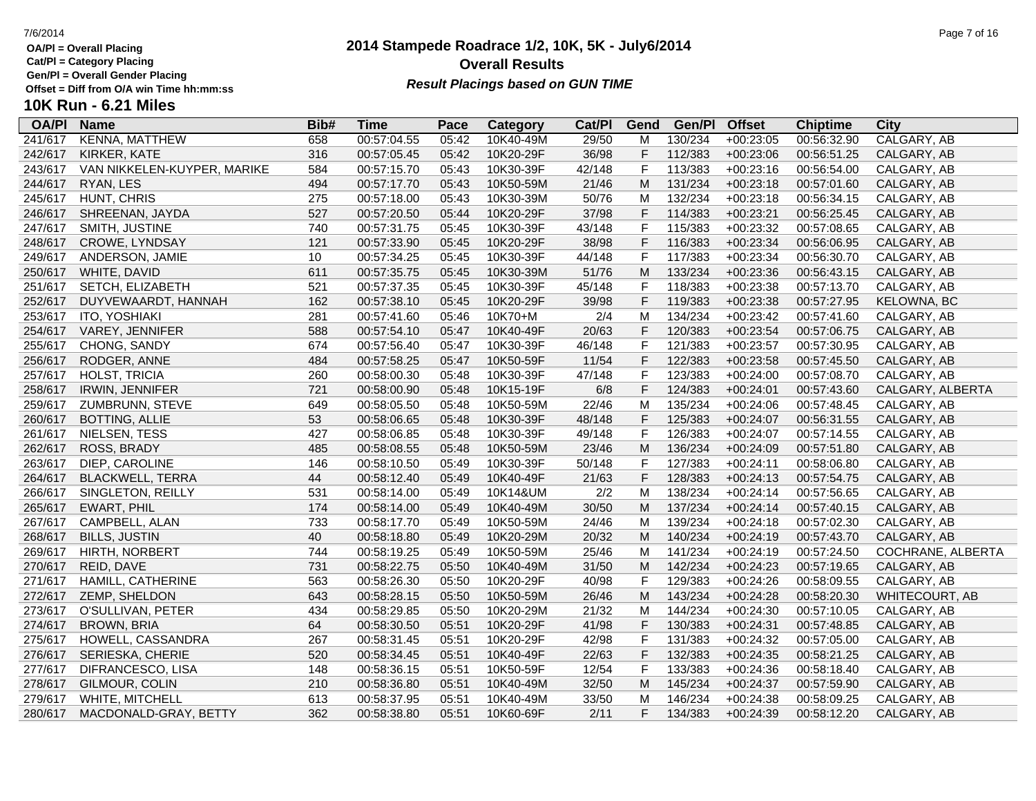**Cat/Pl = Category Placing**

**Gen/Pl = Overall Gender Placing**

# **10K Run - 6.21 Miles**

| <b>OA/PI</b> | <b>Name</b>                 | Bib# | <b>Time</b> | Pace  | Category  | Cat/PI | Gend                                                                                                       | Gen/Pl  | <b>Offset</b> | <b>Chiptime</b> | City              |
|--------------|-----------------------------|------|-------------|-------|-----------|--------|------------------------------------------------------------------------------------------------------------|---------|---------------|-----------------|-------------------|
| 241/617      | KENNA, MATTHEW              | 658  | 00:57:04.55 | 05:42 | 10K40-49M | 29/50  | M                                                                                                          | 130/234 | $+00:23:05$   | 00:56:32.90     | CALGARY, AB       |
| 242/617      | KIRKER, KATE                | 316  | 00:57:05.45 | 05:42 | 10K20-29F | 36/98  | F                                                                                                          | 112/383 | $+00:23:06$   | 00:56:51.25     | CALGARY, AB       |
| 243/617      | VAN NIKKELEN-KUYPER, MARIKE | 584  | 00:57:15.70 | 05:43 | 10K30-39F | 42/148 | $\mathsf{F}$                                                                                               | 113/383 | $+00:23:16$   | 00:56:54.00     | CALGARY, AB       |
| 244/617      | RYAN, LES                   | 494  | 00:57:17.70 | 05:43 | 10K50-59M | 21/46  | M                                                                                                          | 131/234 | $+00:23:18$   | 00:57:01.60     | CALGARY, AB       |
| 245/617      | HUNT, CHRIS                 | 275  | 00:57:18.00 | 05:43 | 10K30-39M | 50/76  | M                                                                                                          | 132/234 | $+00:23:18$   | 00:56:34.15     | CALGARY, AB       |
| 246/617      | SHREENAN, JAYDA             | 527  | 00:57:20.50 | 05:44 | 10K20-29F | 37/98  | $\mathsf F$                                                                                                | 114/383 | $+00:23:21$   | 00:56:25.45     | CALGARY, AB       |
| 247/617      | SMITH, JUSTINE              | 740  | 00:57:31.75 | 05:45 | 10K30-39F | 43/148 | $\mathsf F$                                                                                                | 115/383 | $+00:23:32$   | 00:57:08.65     | CALGARY, AB       |
| 248/617      | CROWE, LYNDSAY              | 121  | 00:57:33.90 | 05:45 | 10K20-29F | 38/98  | $\mathsf F$                                                                                                | 116/383 | $+00:23:34$   | 00:56:06.95     | CALGARY, AB       |
| 249/617      | ANDERSON, JAMIE             | 10   | 00:57:34.25 | 05:45 | 10K30-39F | 44/148 | $\mathsf{F}$                                                                                               | 117/383 | $+00:23:34$   | 00:56:30.70     | CALGARY, AB       |
| 250/617      | WHITE, DAVID                | 611  | 00:57:35.75 | 05:45 | 10K30-39M | 51/76  | M                                                                                                          | 133/234 | $+00:23:36$   | 00:56:43.15     | CALGARY, AB       |
| 251/617      | SETCH, ELIZABETH            | 521  | 00:57:37.35 | 05:45 | 10K30-39F | 45/148 | $\mathsf F$                                                                                                | 118/383 | $+00:23:38$   | 00:57:13.70     | CALGARY, AB       |
| 252/617      | DUYVEWAARDT, HANNAH         | 162  | 00:57:38.10 | 05:45 | 10K20-29F | 39/98  | $\mathsf F$                                                                                                | 119/383 | $+00:23:38$   | 00:57:27.95     | KELOWNA, BC       |
| 253/617      | <b>ITO, YOSHIAKI</b>        | 281  | 00:57:41.60 | 05:46 | 10K70+M   | 2/4    | M                                                                                                          | 134/234 | $+00:23:42$   | 00:57:41.60     | CALGARY, AB       |
| 254/617      | VAREY, JENNIFER             | 588  | 00:57:54.10 | 05:47 | 10K40-49F | 20/63  | $\mathsf F$                                                                                                | 120/383 | $+00:23:54$   | 00:57:06.75     | CALGARY, AB       |
| 255/617      | CHONG, SANDY                | 674  | 00:57:56.40 | 05:47 | 10K30-39F | 46/148 | $\mathsf F$                                                                                                | 121/383 | $+00:23:57$   | 00:57:30.95     | CALGARY, AB       |
| 256/617      | RODGER, ANNE                | 484  | 00:57:58.25 | 05:47 | 10K50-59F | 11/54  | $\mathsf F$                                                                                                | 122/383 | $+00:23:58$   | 00:57:45.50     | CALGARY, AB       |
| 257/617      | HOLST, TRICIA               | 260  | 00:58:00.30 | 05:48 | 10K30-39F | 47/148 | $\mathsf F$                                                                                                | 123/383 | $+00:24:00$   | 00:57:08.70     | CALGARY, AB       |
| 258/617      | IRWIN, JENNIFER             | 721  | 00:58:00.90 | 05:48 | 10K15-19F | 6/8    | $\mathsf F$                                                                                                | 124/383 | $+00:24:01$   | 00:57:43.60     | CALGARY, ALBERTA  |
| 259/617      | ZUMBRUNN, STEVE             | 649  | 00:58:05.50 | 05:48 | 10K50-59M | 22/46  | M                                                                                                          | 135/234 | $+00:24:06$   | 00:57:48.45     | CALGARY, AB       |
| 260/617      | <b>BOTTING, ALLIE</b>       | 53   | 00:58:06.65 | 05:48 | 10K30-39F | 48/148 | $\mathsf F$                                                                                                | 125/383 | $+00:24:07$   | 00:56:31.55     | CALGARY, AB       |
| 261/617      | NIELSEN, TESS               | 427  | 00:58:06.85 | 05:48 | 10K30-39F | 49/148 | $\mathsf{F}$                                                                                               | 126/383 | $+00:24:07$   | 00:57:14.55     | CALGARY, AB       |
| 262/617      | ROSS, BRADY                 | 485  | 00:58:08.55 | 05:48 | 10K50-59M | 23/46  | M                                                                                                          | 136/234 | $+00:24:09$   | 00:57:51.80     | CALGARY, AB       |
| 263/617      | DIEP, CAROLINE              | 146  | 00:58:10.50 | 05:49 | 10K30-39F | 50/148 | $\mathsf F$                                                                                                | 127/383 | $+00:24:11$   | 00:58:06.80     | CALGARY, AB       |
| 264/617      | <b>BLACKWELL, TERRA</b>     | 44   | 00:58:12.40 | 05:49 | 10K40-49F | 21/63  | $\mathsf F$                                                                                                | 128/383 | $+00:24:13$   | 00:57:54.75     | CALGARY, AB       |
| 266/617      | SINGLETON, REILLY           | 531  | 00:58:14.00 | 05:49 | 10K14&UM  | 2/2    | M                                                                                                          | 138/234 | $+00:24:14$   | 00:57:56.65     | CALGARY, AB       |
| 265/617      | <b>EWART, PHIL</b>          | 174  | 00:58:14.00 | 05:49 | 10K40-49M | 30/50  | M                                                                                                          | 137/234 | $+00:24:14$   | 00:57:40.15     | CALGARY, AB       |
| 267/617      | CAMPBELL, ALAN              | 733  | 00:58:17.70 | 05:49 | 10K50-59M | 24/46  | M                                                                                                          | 139/234 | $+00:24:18$   | 00:57:02.30     | CALGARY, AB       |
| 268/617      | <b>BILLS, JUSTIN</b>        | 40   | 00:58:18.80 | 05:49 | 10K20-29M | 20/32  | M                                                                                                          | 140/234 | $+00:24:19$   | 00:57:43.70     | CALGARY, AB       |
| 269/617      | HIRTH, NORBERT              | 744  | 00:58:19.25 | 05:49 | 10K50-59M | 25/46  | M                                                                                                          | 141/234 | $+00:24:19$   | 00:57:24.50     | COCHRANE, ALBERTA |
| 270/617      | REID, DAVE                  | 731  | 00:58:22.75 | 05:50 | 10K40-49M | 31/50  | M                                                                                                          | 142/234 | $+00:24:23$   | 00:57:19.65     | CALGARY, AB       |
| 271/617      | HAMILL, CATHERINE           | 563  | 00:58:26.30 | 05:50 | 10K20-29F | 40/98  | $\mathsf F$                                                                                                | 129/383 | $+00:24:26$   | 00:58:09.55     | CALGARY, AB       |
| 272/617      | ZEMP, SHELDON               | 643  | 00:58:28.15 | 05:50 | 10K50-59M | 26/46  | $\mathsf{M}% _{T}=\mathsf{M}_{T}\!\left( a,b\right) ,\ \mathsf{M}_{T}=\mathsf{M}_{T}\!\left( a,b\right) ,$ | 143/234 | $+00:24:28$   | 00:58:20.30     | WHITECOURT, AB    |
| 273/617      | O'SULLIVAN, PETER           | 434  | 00:58:29.85 | 05:50 | 10K20-29M | 21/32  | M                                                                                                          | 144/234 | $+00:24:30$   | 00:57:10.05     | CALGARY, AB       |
| 274/617      | <b>BROWN, BRIA</b>          | 64   | 00:58:30.50 | 05:51 | 10K20-29F | 41/98  | $\mathsf F$                                                                                                | 130/383 | $+00:24:31$   | 00:57:48.85     | CALGARY, AB       |
| 275/617      | HOWELL, CASSANDRA           | 267  | 00:58:31.45 | 05:51 | 10K20-29F | 42/98  | $\mathsf F$                                                                                                | 131/383 | $+00:24:32$   | 00:57:05.00     | CALGARY, AB       |
| 276/617      | SERIESKA, CHERIE            | 520  | 00:58:34.45 | 05:51 | 10K40-49F | 22/63  | $\mathsf F$                                                                                                | 132/383 | $+00:24:35$   | 00:58:21.25     | CALGARY, AB       |
| 277/617      | DIFRANCESCO, LISA           | 148  | 00:58:36.15 | 05:51 | 10K50-59F | 12/54  | $\mathsf{F}$                                                                                               | 133/383 | $+00:24:36$   | 00:58:18.40     | CALGARY, AB       |
| 278/617      | GILMOUR, COLIN              | 210  | 00:58:36.80 | 05:51 | 10K40-49M | 32/50  | M                                                                                                          | 145/234 | $+00:24:37$   | 00:57:59.90     | CALGARY, AB       |
| 279/617      | WHITE, MITCHELL             | 613  | 00:58:37.95 | 05:51 | 10K40-49M | 33/50  | M                                                                                                          | 146/234 | $+00:24:38$   | 00:58:09.25     | CALGARY, AB       |
| 280/617      | MACDONALD-GRAY, BETTY       | 362  | 00:58:38.80 | 05:51 | 10K60-69F | 2/11   | F                                                                                                          | 134/383 | $+00:24:39$   | 00:58:12.20     | CALGARY, AB       |

### **2014 Stampede Roadrace 1/2, 10K, 5K - July6/2014** 7/6/2014 Page 7 of 16 **Overall Results Result Placings based on GUN TIME**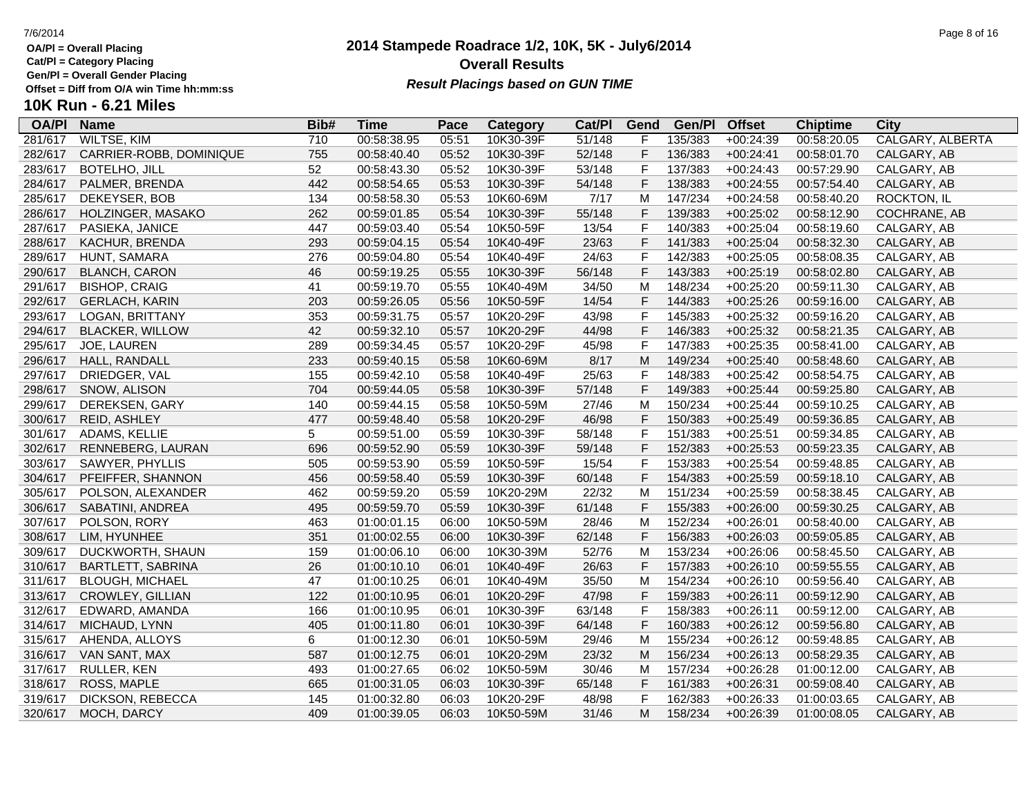**Cat/Pl = Category Placing**

**Gen/Pl = Overall Gender Placing**

# **10K Run - 6.21 Miles**

| <b>OA/PI</b> | <b>Name</b>              | Bib# | <b>Time</b> | Pace  | <b>Category</b> | Cat/PI | Gend           | Gen/Pl  | <b>Offset</b> | <b>Chiptime</b> | <b>City</b>             |
|--------------|--------------------------|------|-------------|-------|-----------------|--------|----------------|---------|---------------|-----------------|-------------------------|
| 281/617      | <b>WILTSE, KIM</b>       | 710  | 00:58:38.95 | 05:51 | 10K30-39F       | 51/148 | F              | 135/383 | $+00:24:39$   | 00:58:20.05     | <b>CALGARY, ALBERTA</b> |
| 282/617      | CARRIER-ROBB, DOMINIQUE  | 755  | 00:58:40.40 | 05:52 | 10K30-39F       | 52/148 | $\mathsf F$    | 136/383 | $+00:24:41$   | 00:58:01.70     | CALGARY, AB             |
| 283/617      | BOTELHO, JILL            | 52   | 00:58:43.30 | 05:52 | 10K30-39F       | 53/148 | F              | 137/383 | $+00:24:43$   | 00:57:29.90     | CALGARY, AB             |
| 284/617      | PALMER, BRENDA           | 442  | 00:58:54.65 | 05:53 | 10K30-39F       | 54/148 | $\mathsf{F}$   | 138/383 | $+00:24:55$   | 00:57:54.40     | CALGARY, AB             |
| 285/617      | DEKEYSER, BOB            | 134  | 00:58:58.30 | 05:53 | 10K60-69M       | 7/17   | M              | 147/234 | $+00:24:58$   | 00:58:40.20     | ROCKTON, IL             |
| 286/617      | HOLZINGER, MASAKO        | 262  | 00:59:01.85 | 05:54 | 10K30-39F       | 55/148 | $\mathsf F$    | 139/383 | $+00:25:02$   | 00:58:12.90     | COCHRANE, AB            |
| 287/617      | PASIEKA, JANICE          | 447  | 00:59:03.40 | 05:54 | 10K50-59F       | 13/54  | $\mathsf{F}$   | 140/383 | $+00:25:04$   | 00:58:19.60     | CALGARY, AB             |
| 288/617      | KACHUR, BRENDA           | 293  | 00:59:04.15 | 05:54 | 10K40-49F       | 23/63  | $\mathsf F$    | 141/383 | $+00:25:04$   | 00:58:32.30     | CALGARY, AB             |
| 289/617      | HUNT, SAMARA             | 276  | 00:59:04.80 | 05:54 | 10K40-49F       | 24/63  | $\mathsf F$    | 142/383 | $+00:25:05$   | 00:58:08.35     | CALGARY, AB             |
| 290/617      | <b>BLANCH, CARON</b>     | 46   | 00:59:19.25 | 05:55 | 10K30-39F       | 56/148 | $\mathsf F$    | 143/383 | $+00:25:19$   | 00:58:02.80     | CALGARY, AB             |
| 291/617      | <b>BISHOP, CRAIG</b>     | 41   | 00:59:19.70 | 05:55 | 10K40-49M       | 34/50  | M              | 148/234 | $+00:25:20$   | 00:59:11.30     | CALGARY, AB             |
| 292/617      | <b>GERLACH, KARIN</b>    | 203  | 00:59:26.05 | 05:56 | 10K50-59F       | 14/54  | $\mathsf{F}$   | 144/383 | $+00:25:26$   | 00:59:16.00     | CALGARY, AB             |
| 293/617      | LOGAN, BRITTANY          | 353  | 00:59:31.75 | 05:57 | 10K20-29F       | 43/98  | $\mathsf{F}$   | 145/383 | $+00:25:32$   | 00:59:16.20     | CALGARY, AB             |
| 294/617      | <b>BLACKER, WILLOW</b>   | 42   | 00:59:32.10 | 05:57 | 10K20-29F       | 44/98  | F              | 146/383 | $+00:25:32$   | 00:58:21.35     | CALGARY, AB             |
| 295/617      | JOE, LAUREN              | 289  | 00:59:34.45 | 05:57 | 10K20-29F       | 45/98  | $\mathsf{F}$   | 147/383 | $+00:25:35$   | 00:58:41.00     | CALGARY, AB             |
| 296/617      | HALL, RANDALL            | 233  | 00:59:40.15 | 05:58 | 10K60-69M       | 8/17   | M              | 149/234 | $+00:25:40$   | 00:58:48.60     | CALGARY, AB             |
| 297/617      | DRIEDGER, VAL            | 155  | 00:59:42.10 | 05:58 | 10K40-49F       | 25/63  | $\mathsf F$    | 148/383 | $+00:25:42$   | 00:58:54.75     | CALGARY, AB             |
| 298/617      | SNOW, ALISON             | 704  | 00:59:44.05 | 05:58 | 10K30-39F       | 57/148 | $\mathsf F$    | 149/383 | $+00:25:44$   | 00:59:25.80     | CALGARY, AB             |
| 299/617      | DEREKSEN, GARY           | 140  | 00:59:44.15 | 05:58 | 10K50-59M       | 27/46  | M              | 150/234 | $+00:25:44$   | 00:59:10.25     | CALGARY, AB             |
| 300/617      | REID, ASHLEY             | 477  | 00:59:48.40 | 05:58 | 10K20-29F       | 46/98  | $\mathsf F$    | 150/383 | $+00:25:49$   | 00:59:36.85     | CALGARY, AB             |
| 301/617      | ADAMS, KELLIE            | 5    | 00:59:51.00 | 05:59 | 10K30-39F       | 58/148 | $\overline{F}$ | 151/383 | $+00:25:51$   | 00:59:34.85     | CALGARY, AB             |
| 302/617      | RENNEBERG, LAURAN        | 696  | 00:59:52.90 | 05:59 | 10K30-39F       | 59/148 | $\mathsf F$    | 152/383 | $+00:25:53$   | 00:59:23.35     | CALGARY, AB             |
| 303/617      | SAWYER, PHYLLIS          | 505  | 00:59:53.90 | 05:59 | 10K50-59F       | 15/54  | $\overline{F}$ | 153/383 | $+00:25:54$   | 00:59:48.85     | CALGARY, AB             |
| 304/617      | PFEIFFER, SHANNON        | 456  | 00:59:58.40 | 05:59 | 10K30-39F       | 60/148 | $\mathsf F$    | 154/383 | $+00:25:59$   | 00:59:18.10     | CALGARY, AB             |
| 305/617      | POLSON, ALEXANDER        | 462  | 00:59:59.20 | 05:59 | 10K20-29M       | 22/32  | M              | 151/234 | $+00:25:59$   | 00:58:38.45     | CALGARY, AB             |
| 306/617      | SABATINI, ANDREA         | 495  | 00:59:59.70 | 05:59 | 10K30-39F       | 61/148 | F              | 155/383 | $+00:26:00$   | 00:59:30.25     | CALGARY, AB             |
| 307/617      | POLSON, RORY             | 463  | 01:00:01.15 | 06:00 | 10K50-59M       | 28/46  | M              | 152/234 | $+00:26:01$   | 00:58:40.00     | CALGARY, AB             |
| 308/617      | LIM, HYUNHEE             | 351  | 01:00:02.55 | 06:00 | 10K30-39F       | 62/148 | $\mathsf F$    | 156/383 | $+00:26:03$   | 00:59:05.85     | CALGARY, AB             |
| 309/617      | DUCKWORTH, SHAUN         | 159  | 01:00:06.10 | 06:00 | 10K30-39M       | 52/76  | M              | 153/234 | $+00:26:06$   | 00:58:45.50     | CALGARY, AB             |
| 310/617      | <b>BARTLETT, SABRINA</b> | 26   | 01:00:10.10 | 06:01 | 10K40-49F       | 26/63  | $\mathsf F$    | 157/383 | $+00:26:10$   | 00:59:55.55     | CALGARY, AB             |
| 311/617      | <b>BLOUGH, MICHAEL</b>   | 47   | 01:00:10.25 | 06:01 | 10K40-49M       | 35/50  | M              | 154/234 | $+00:26:10$   | 00:59:56.40     | CALGARY, AB             |
| 313/617      | CROWLEY, GILLIAN         | 122  | 01:00:10.95 | 06:01 | 10K20-29F       | 47/98  | $\mathsf F$    | 159/383 | $+00:26:11$   | 00:59:12.90     | CALGARY, AB             |
| 312/617      | EDWARD, AMANDA           | 166  | 01:00:10.95 | 06:01 | 10K30-39F       | 63/148 | $\mathsf F$    | 158/383 | $+00:26:11$   | 00:59:12.00     | CALGARY, AB             |
| 314/617      | MICHAUD, LYNN            | 405  | 01:00:11.80 | 06:01 | 10K30-39F       | 64/148 | $\mathsf F$    | 160/383 | $+00:26:12$   | 00:59:56.80     | CALGARY, AB             |
| 315/617      | AHENDA, ALLOYS           | 6    | 01:00:12.30 | 06:01 | 10K50-59M       | 29/46  | M              | 155/234 | $+00:26:12$   | 00:59:48.85     | CALGARY, AB             |
| 316/617      | VAN SANT, MAX            | 587  | 01:00:12.75 | 06:01 | 10K20-29M       | 23/32  | M              | 156/234 | $+00:26:13$   | 00:58:29.35     | CALGARY, AB             |
| 317/617      | RULLER, KEN              | 493  | 01:00:27.65 | 06:02 | 10K50-59M       | 30/46  | M              | 157/234 | $+00:26:28$   | 01:00:12.00     | CALGARY, AB             |
| 318/617      | ROSS, MAPLE              | 665  | 01:00:31.05 | 06:03 | 10K30-39F       | 65/148 | $\mathsf{F}$   | 161/383 | $+00:26:31$   | 00:59:08.40     | CALGARY, AB             |
| 319/617      | DICKSON, REBECCA         | 145  | 01:00:32.80 | 06:03 | 10K20-29F       | 48/98  | $\mathsf{F}$   | 162/383 | $+00:26:33$   | 01:00:03.65     | CALGARY, AB             |
| 320/617      | MOCH, DARCY              | 409  | 01:00:39.05 | 06:03 | 10K50-59M       | 31/46  | M              | 158/234 | $+00:26:39$   | 01:00:08.05     | CALGARY, AB             |

### **2014 Stampede Roadrace 1/2, 10K, 5K - July6/2014** 7/6/2014 Page 8 of 16 **Overall Results Result Placings based on GUN TIME**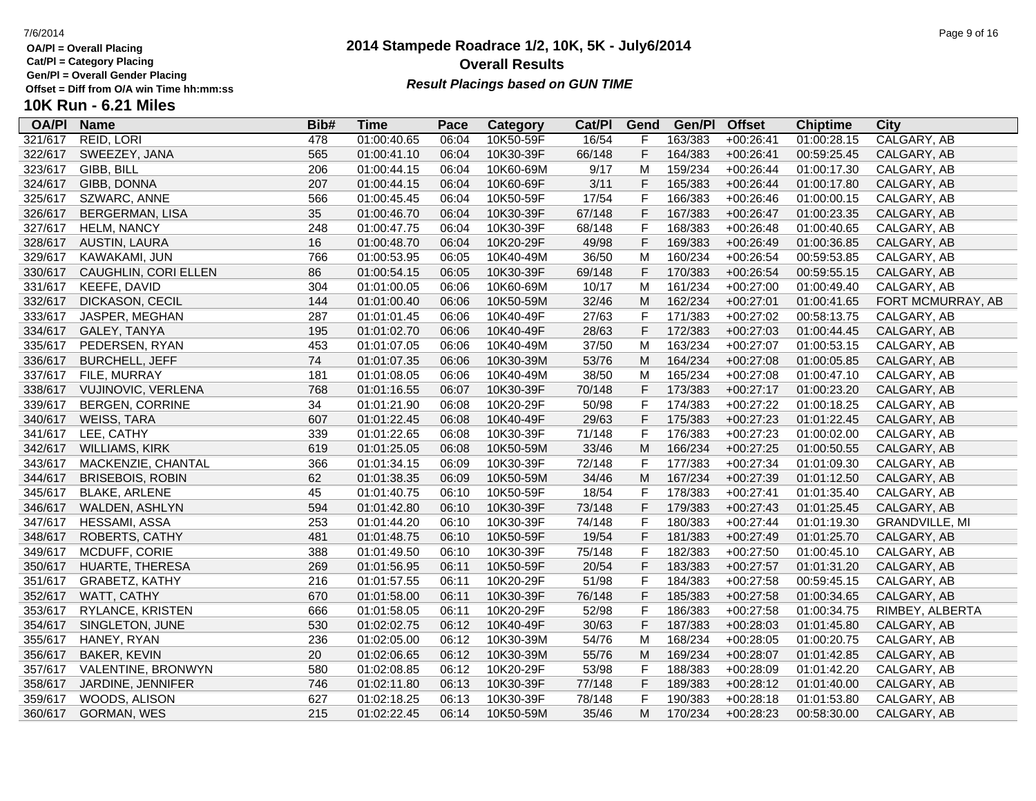**Cat/Pl = Category Placing**

**Gen/Pl = Overall Gender Placing**

### **2014 Stampede Roadrace 1/2, 10K, 5K - July6/2014** 7/6/2014 Page 9 of 16 **Overall Results** Gen/PI = Overall Gender Placing<br>Offset = Diff from O/A win Time hh:mm:ss *Result Placings based on GUN TIME*

| <b>OA/PI</b> | <b>Name</b>             | Bib# | <b>Time</b> | Pace  | Category  | Cat/PI | Gend        | Gen/Pl  | <b>Offset</b> | <b>Chiptime</b> | City                  |
|--------------|-------------------------|------|-------------|-------|-----------|--------|-------------|---------|---------------|-----------------|-----------------------|
| 321/617      | REID, LORI              | 478  | 01:00:40.65 | 06:04 | 10K50-59F | 16/54  | F           | 163/383 | $+00:26:41$   | 01:00:28.15     | CALGARY, AB           |
| 322/617      | SWEEZEY, JANA           | 565  | 01:00:41.10 | 06:04 | 10K30-39F | 66/148 | F           | 164/383 | $+00:26:41$   | 00:59:25.45     | CALGARY, AB           |
| 323/617      | GIBB, BILL              | 206  | 01:00:44.15 | 06:04 | 10K60-69M | 9/17   | M           | 159/234 | $+00:26:44$   | 01:00:17.30     | CALGARY, AB           |
| 324/617      | GIBB, DONNA             | 207  | 01:00:44.15 | 06:04 | 10K60-69F | 3/11   | F           | 165/383 | $+00:26:44$   | 01:00:17.80     | CALGARY, AB           |
| 325/617      | SZWARC, ANNE            | 566  | 01:00:45.45 | 06:04 | 10K50-59F | 17/54  | $\mathsf F$ | 166/383 | $+00:26:46$   | 01:00:00.15     | CALGARY, AB           |
| 326/617      | BERGERMAN, LISA         | 35   | 01:00:46.70 | 06:04 | 10K30-39F | 67/148 | $\mathsf F$ | 167/383 | $+00:26:47$   | 01:00:23.35     | CALGARY, AB           |
| 327/617      | <b>HELM, NANCY</b>      | 248  | 01:00:47.75 | 06:04 | 10K30-39F | 68/148 | $\mathsf F$ | 168/383 | $+00:26:48$   | 01:00:40.65     | CALGARY, AB           |
| 328/617      | AUSTIN, LAURA           | 16   | 01:00:48.70 | 06:04 | 10K20-29F | 49/98  | $\mathsf F$ | 169/383 | $+00:26:49$   | 01:00:36.85     | CALGARY, AB           |
| 329/617      | KAWAKAMI, JUN           | 766  | 01:00:53.95 | 06:05 | 10K40-49M | 36/50  | M           | 160/234 | $+00:26:54$   | 00:59:53.85     | CALGARY, AB           |
| 330/617      | CAUGHLIN, CORI ELLEN    | 86   | 01:00:54.15 | 06:05 | 10K30-39F | 69/148 | F           | 170/383 | $+00:26:54$   | 00:59:55.15     | CALGARY, AB           |
| 331/617      | KEEFE, DAVID            | 304  | 01:01:00.05 | 06:06 | 10K60-69M | 10/17  | M           | 161/234 | $+00:27:00$   | 01:00:49.40     | CALGARY, AB           |
| 332/617      | DICKASON, CECIL         | 144  | 01:01:00.40 | 06:06 | 10K50-59M | 32/46  | M           | 162/234 | $+00:27:01$   | 01:00:41.65     | FORT MCMURRAY, AB     |
| 333/617      | JASPER, MEGHAN          | 287  | 01:01:01.45 | 06:06 | 10K40-49F | 27/63  | $\mathsf F$ | 171/383 | $+00:27:02$   | 00:58:13.75     | CALGARY, AB           |
| 334/617      | GALEY, TANYA            | 195  | 01:01:02.70 | 06:06 | 10K40-49F | 28/63  | $\mathsf F$ | 172/383 | $+00:27:03$   | 01:00:44.45     | CALGARY, AB           |
| 335/617      | PEDERSEN, RYAN          | 453  | 01:01:07.05 | 06:06 | 10K40-49M | 37/50  | M           | 163/234 | $+00:27:07$   | 01:00:53.15     | CALGARY, AB           |
| 336/617      | <b>BURCHELL, JEFF</b>   | 74   | 01:01:07.35 | 06:06 | 10K30-39M | 53/76  | M           | 164/234 | $+00:27:08$   | 01:00:05.85     | CALGARY, AB           |
| 337/617      | FILE, MURRAY            | 181  | 01:01:08.05 | 06:06 | 10K40-49M | 38/50  | м           | 165/234 | $+00:27:08$   | 01:00:47.10     | CALGARY, AB           |
| 338/617      | VUJINOVIC, VERLENA      | 768  | 01:01:16.55 | 06:07 | 10K30-39F | 70/148 | F           | 173/383 | $+00:27:17$   | 01:00:23.20     | CALGARY, AB           |
| 339/617      | <b>BERGEN, CORRINE</b>  | 34   | 01:01:21.90 | 06:08 | 10K20-29F | 50/98  | $\mathsf F$ | 174/383 | $+00:27:22$   | 01:00:18.25     | CALGARY, AB           |
| 340/617      | WEISS, TARA             | 607  | 01:01:22.45 | 06:08 | 10K40-49F | 29/63  | $\mathsf F$ | 175/383 | $+00:27:23$   | 01:01:22.45     | CALGARY, AB           |
| 341/617      | LEE, CATHY              | 339  | 01:01:22.65 | 06:08 | 10K30-39F | 71/148 | $\mathsf F$ | 176/383 | $+00:27:23$   | 01:00:02.00     | CALGARY, AB           |
| 342/617      | <b>WILLIAMS, KIRK</b>   | 619  | 01:01:25.05 | 06:08 | 10K50-59M | 33/46  | M           | 166/234 | $+00:27:25$   | 01:00:50.55     | CALGARY, AB           |
| 343/617      | MACKENZIE, CHANTAL      | 366  | 01:01:34.15 | 06:09 | 10K30-39F | 72/148 | F           | 177/383 | $+00:27:34$   | 01:01:09.30     | CALGARY, AB           |
| 344/617      | <b>BRISEBOIS, ROBIN</b> | 62   | 01:01:38.35 | 06:09 | 10K50-59M | 34/46  | M           | 167/234 | $+00:27:39$   | 01:01:12.50     | CALGARY, AB           |
| 345/617      | <b>BLAKE, ARLENE</b>    | 45   | 01:01:40.75 | 06:10 | 10K50-59F | 18/54  | $\mathsf F$ | 178/383 | $+00:27:41$   | 01:01:35.40     | CALGARY, AB           |
| 346/617      | WALDEN, ASHLYN          | 594  | 01:01:42.80 | 06:10 | 10K30-39F | 73/148 | $\mathsf F$ | 179/383 | $+00:27:43$   | 01:01:25.45     | CALGARY, AB           |
| 347/617      | HESSAMI, ASSA           | 253  | 01:01:44.20 | 06:10 | 10K30-39F | 74/148 | $\mathsf F$ | 180/383 | $+00:27:44$   | 01:01:19.30     | <b>GRANDVILLE, MI</b> |
| 348/617      | <b>ROBERTS, CATHY</b>   | 481  | 01:01:48.75 | 06:10 | 10K50-59F | 19/54  | F           | 181/383 | $+00:27:49$   | 01:01:25.70     | CALGARY, AB           |
| 349/617      | MCDUFF, CORIE           | 388  | 01:01:49.50 | 06:10 | 10K30-39F | 75/148 | $\mathsf F$ | 182/383 | $+00:27:50$   | 01:00:45.10     | CALGARY, AB           |
| 350/617      | HUARTE, THERESA         | 269  | 01:01:56.95 | 06:11 | 10K50-59F | 20/54  | $\mathsf F$ | 183/383 | $+00:27:57$   | 01:01:31.20     | CALGARY, AB           |
| 351/617      | GRABETZ, KATHY          | 216  | 01:01:57.55 | 06:11 | 10K20-29F | 51/98  | $\mathsf F$ | 184/383 | $+00:27:58$   | 00:59:45.15     | CALGARY, AB           |
| 352/617      | WATT, CATHY             | 670  | 01:01:58.00 | 06:11 | 10K30-39F | 76/148 | $\mathsf F$ | 185/383 | $+00:27:58$   | 01:00:34.65     | CALGARY, AB           |
| 353/617      | RYLANCE, KRISTEN        | 666  | 01:01:58.05 | 06:11 | 10K20-29F | 52/98  | F           | 186/383 | $+00:27:58$   | 01:00:34.75     | RIMBEY, ALBERTA       |
| 354/617      | SINGLETON, JUNE         | 530  | 01:02:02.75 | 06:12 | 10K40-49F | 30/63  | $\mathsf F$ | 187/383 | $+00:28:03$   | 01:01:45.80     | CALGARY, AB           |
| 355/617      | HANEY, RYAN             | 236  | 01:02:05.00 | 06:12 | 10K30-39M | 54/76  | M           | 168/234 | $+00:28:05$   | 01:00:20.75     | CALGARY, AB           |
| 356/617      | <b>BAKER, KEVIN</b>     | 20   | 01:02:06.65 | 06:12 | 10K30-39M | 55/76  | M           | 169/234 | $+00:28:07$   | 01:01:42.85     | CALGARY, AB           |
| 357/617      | VALENTINE, BRONWYN      | 580  | 01:02:08.85 | 06:12 | 10K20-29F | 53/98  | $\mathsf F$ | 188/383 | +00:28:09     | 01:01:42.20     | CALGARY, AB           |
| 358/617      | JARDINE, JENNIFER       | 746  | 01:02:11.80 | 06:13 | 10K30-39F | 77/148 | F           | 189/383 | $+00:28:12$   | 01:01:40.00     | CALGARY, AB           |
| 359/617      | WOODS, ALISON           | 627  | 01:02:18.25 | 06:13 | 10K30-39F | 78/148 | F           | 190/383 | $+00:28:18$   | 01:01:53.80     | CALGARY, AB           |
| 360/617      | GORMAN, WES             | 215  | 01:02:22.45 | 06:14 | 10K50-59M | 35/46  | М           | 170/234 | $+00:28:23$   | 00:58:30.00     | CALGARY, AB           |
|              |                         |      |             |       |           |        |             |         |               |                 |                       |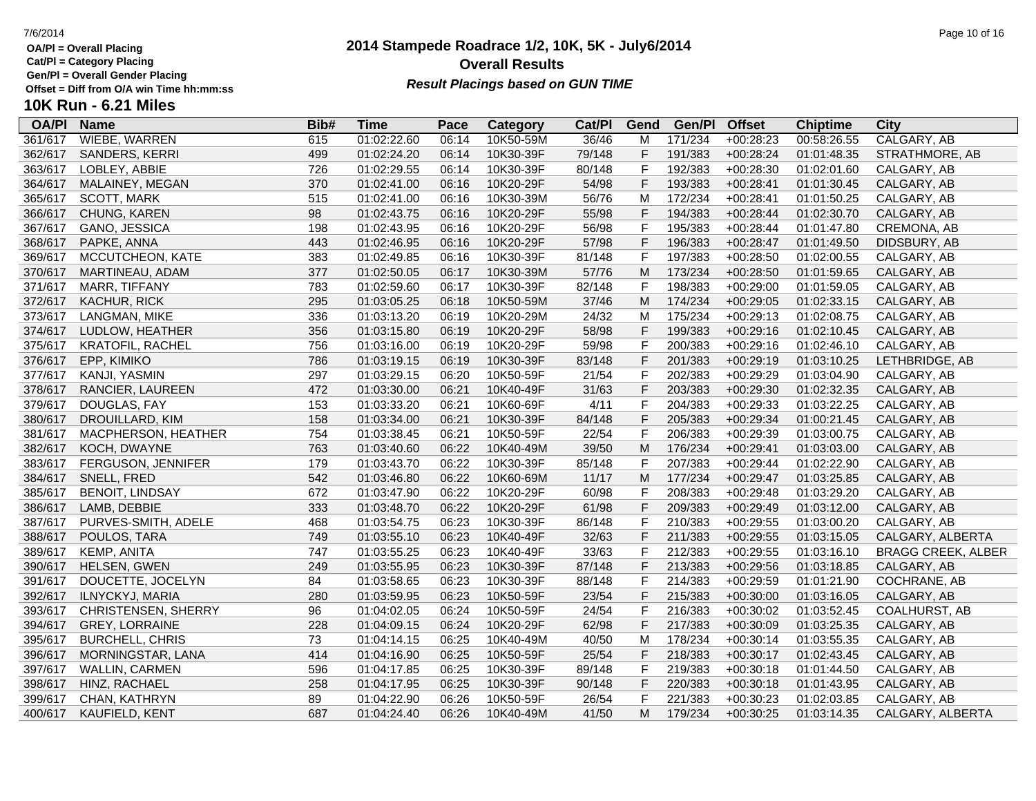**Cat/Pl = Category Placing**

**Gen/Pl = Overall Gender Placing**

### **2014 Stampede Roadrace 1/2, 10K, 5K - July6/2014** 7/6/2014 Page 10 of 16 **Overall Results** Gen/PI = Overall Gender Placing<br>Offset = Diff from O/A win Time hh:mm:ss *Result Placings based on GUN TIME*

| <b>OA/PI</b> | <b>Name</b>             | Bib# | <b>Time</b> | Pace  | Category  | Cat/PI | Gend         | Gen/Pl  | <b>Offset</b> | <b>Chiptime</b> | City                      |
|--------------|-------------------------|------|-------------|-------|-----------|--------|--------------|---------|---------------|-----------------|---------------------------|
| 361/617      | WIEBE, WARREN           | 615  | 01:02:22.60 | 06:14 | 10K50-59M | 36/46  | M            | 171/234 | $+00:28:23$   | 00:58:26.55     | CALGARY, AB               |
| 362/617      | SANDERS, KERRI          | 499  | 01:02:24.20 | 06:14 | 10K30-39F | 79/148 | F            | 191/383 | $+00:28:24$   | 01:01:48.35     | STRATHMORE, AB            |
| 363/617      | LOBLEY, ABBIE           | 726  | 01:02:29.55 | 06:14 | 10K30-39F | 80/148 | F            | 192/383 | $+00:28:30$   | 01:02:01.60     | CALGARY, AB               |
| 364/617      | MALAINEY, MEGAN         | 370  | 01:02:41.00 | 06:16 | 10K20-29F | 54/98  | F            | 193/383 | $+00:28:41$   | 01:01:30.45     | CALGARY, AB               |
| 365/617      | <b>SCOTT, MARK</b>      | 515  | 01:02:41.00 | 06:16 | 10K30-39M | 56/76  | M            | 172/234 | $+00:28:41$   | 01:01:50.25     | CALGARY, AB               |
| 366/617      | CHUNG, KAREN            | 98   | 01:02:43.75 | 06:16 | 10K20-29F | 55/98  | $\mathsf F$  | 194/383 | $+00:28:44$   | 01:02:30.70     | CALGARY, AB               |
| 367/617      | GANO, JESSICA           | 198  | 01:02:43.95 | 06:16 | 10K20-29F | 56/98  | $\mathsf F$  | 195/383 | $+00:28:44$   | 01:01:47.80     | CREMONA, AB               |
| 368/617      | PAPKE, ANNA             | 443  | 01:02:46.95 | 06:16 | 10K20-29F | 57/98  | $\mathsf F$  | 196/383 | $+00:28:47$   | 01:01:49.50     | DIDSBURY, AB              |
| 369/617      | MCCUTCHEON, KATE        | 383  | 01:02:49.85 | 06:16 | 10K30-39F | 81/148 | $\mathsf F$  | 197/383 | $+00:28:50$   | 01:02:00.55     | CALGARY, AB               |
| 370/617      | MARTINEAU, ADAM         | 377  | 01:02:50.05 | 06:17 | 10K30-39M | 57/76  | M            | 173/234 | $+00:28:50$   | 01:01:59.65     | CALGARY, AB               |
| 371/617      | MARR, TIFFANY           | 783  | 01:02:59.60 | 06:17 | 10K30-39F | 82/148 | $\mathsf{F}$ | 198/383 | $+00:29:00$   | 01:01:59.05     | CALGARY, AB               |
| 372/617      | KACHUR, RICK            | 295  | 01:03:05.25 | 06:18 | 10K50-59M | 37/46  | M            | 174/234 | $+00:29:05$   | 01:02:33.15     | CALGARY, AB               |
| 373/617      | LANGMAN, MIKE           | 336  | 01:03:13.20 | 06:19 | 10K20-29M | 24/32  | M            | 175/234 | $+00:29:13$   | 01:02:08.75     | CALGARY, AB               |
| 374/617      | LUDLOW, HEATHER         | 356  | 01:03:15.80 | 06:19 | 10K20-29F | 58/98  | F            | 199/383 | $+00:29:16$   | 01:02:10.45     | CALGARY, AB               |
| 375/617      | <b>KRATOFIL, RACHEL</b> | 756  | 01:03:16.00 | 06:19 | 10K20-29F | 59/98  | $\mathsf F$  | 200/383 | $+00:29:16$   | 01:02:46.10     | CALGARY, AB               |
| 376/617      | EPP, KIMIKO             | 786  | 01:03:19.15 | 06:19 | 10K30-39F | 83/148 | $\mathsf F$  | 201/383 | $+00:29:19$   | 01:03:10.25     | LETHBRIDGE, AB            |
| 377/617      | KANJI, YASMIN           | 297  | 01:03:29.15 | 06:20 | 10K50-59F | 21/54  | $\mathsf F$  | 202/383 | $+00:29:29$   | 01:03:04.90     | CALGARY, AB               |
| 378/617      | RANCIER, LAUREEN        | 472  | 01:03:30.00 | 06:21 | 10K40-49F | 31/63  | $\mathsf F$  | 203/383 | $+00:29:30$   | 01:02:32.35     | CALGARY, AB               |
| 379/617      | DOUGLAS, FAY            | 153  | 01:03:33.20 | 06:21 | 10K60-69F | 4/11   | $\mathsf{F}$ | 204/383 | $+00:29:33$   | 01:03:22.25     | CALGARY, AB               |
| 380/617      | DROUILLARD, KIM         | 158  | 01:03:34.00 | 06:21 | 10K30-39F | 84/148 | $\mathsf F$  | 205/383 | $+00:29:34$   | 01:00:21.45     | CALGARY, AB               |
| 381/617      | MACPHERSON, HEATHER     | 754  | 01:03:38.45 | 06:21 | 10K50-59F | 22/54  | $\mathsf F$  | 206/383 | +00:29:39     | 01:03:00.75     | CALGARY, AB               |
| 382/617      | KOCH, DWAYNE            | 763  | 01:03:40.60 | 06:22 | 10K40-49M | 39/50  | M            | 176/234 | $+00:29:41$   | 01:03:03.00     | CALGARY, AB               |
| 383/617      | FERGUSON, JENNIFER      | 179  | 01:03:43.70 | 06:22 | 10K30-39F | 85/148 | $\mathsf F$  | 207/383 | $+00:29:44$   | 01:02:22.90     | CALGARY, AB               |
| 384/617      | SNELL, FRED             | 542  | 01:03:46.80 | 06:22 | 10K60-69M | 11/17  | M            | 177/234 | $+00:29:47$   | 01:03:25.85     | CALGARY, AB               |
| 385/617      | <b>BENOIT, LINDSAY</b>  | 672  | 01:03:47.90 | 06:22 | 10K20-29F | 60/98  | $\mathsf F$  | 208/383 | $+00:29:48$   | 01:03:29.20     | CALGARY, AB               |
| 386/617      | LAMB, DEBBIE            | 333  | 01:03:48.70 | 06:22 | 10K20-29F | 61/98  | $\mathsf F$  | 209/383 | $+00:29:49$   | 01:03:12.00     | CALGARY, AB               |
| 387/617      | PURVES-SMITH, ADELE     | 468  | 01:03:54.75 | 06:23 | 10K30-39F | 86/148 | $\mathsf F$  | 210/383 | $+00:29:55$   | 01:03:00.20     | CALGARY, AB               |
| 388/617      | POULOS, TARA            | 749  | 01:03:55.10 | 06:23 | 10K40-49F | 32/63  | F            | 211/383 | $+00:29:55$   | 01:03:15.05     | CALGARY, ALBERTA          |
| 389/617      | KEMP, ANITA             | 747  | 01:03:55.25 | 06:23 | 10K40-49F | 33/63  | $\mathsf F$  | 212/383 | $+00:29:55$   | 01:03:16.10     | <b>BRAGG CREEK, ALBER</b> |
| 390/617      | <b>HELSEN, GWEN</b>     | 249  | 01:03:55.95 | 06:23 | 10K30-39F | 87/148 | $\mathsf F$  | 213/383 | $+00:29:56$   | 01:03:18.85     | CALGARY, AB               |
| 391/617      | DOUCETTE, JOCELYN       | 84   | 01:03:58.65 | 06:23 | 10K30-39F | 88/148 | $\mathsf F$  | 214/383 | $+00:29:59$   | 01:01:21.90     | COCHRANE, AB              |
| 392/617      | ILNYCKYJ, MARIA         | 280  | 01:03:59.95 | 06:23 | 10K50-59F | 23/54  | $\mathsf F$  | 215/383 | $+00:30:00$   | 01:03:16.05     | CALGARY, AB               |
| 393/617      | CHRISTENSEN, SHERRY     | 96   | 01:04:02.05 | 06:24 | 10K50-59F | 24/54  | $\mathsf F$  | 216/383 | $+00:30:02$   | 01:03:52.45     | COALHURST, AB             |
| 394/617      | GREY, LORRAINE          | 228  | 01:04:09.15 | 06:24 | 10K20-29F | 62/98  | F            | 217/383 | $+00:30:09$   | 01:03:25.35     | CALGARY, AB               |
| 395/617      | <b>BURCHELL, CHRIS</b>  | 73   | 01:04:14.15 | 06:25 | 10K40-49M | 40/50  | M            | 178/234 | $+00:30:14$   | 01:03:55.35     | CALGARY, AB               |
| 396/617      | MORNINGSTAR, LANA       | 414  | 01:04:16.90 | 06:25 | 10K50-59F | 25/54  | $\mathsf F$  | 218/383 | $+00:30:17$   | 01:02:43.45     | CALGARY, AB               |
| 397/617      | <b>WALLIN, CARMEN</b>   | 596  | 01:04:17.85 | 06:25 | 10K30-39F | 89/148 | $\mathsf F$  | 219/383 | $+00:30:18$   | 01:01:44.50     | CALGARY, AB               |
| 398/617      | HINZ, RACHAEL           | 258  | 01:04:17.95 | 06:25 | 10K30-39F | 90/148 | F            | 220/383 | $+00:30:18$   | 01:01:43.95     | CALGARY, AB               |
| 399/617      | CHAN, KATHRYN           | 89   | 01:04:22.90 | 06:26 | 10K50-59F | 26/54  | $\mathsf F$  | 221/383 | $+00:30:23$   | 01:02:03.85     | CALGARY, AB               |
| 400/617      | KAUFIELD, KENT          | 687  | 01:04:24.40 | 06:26 | 10K40-49M | 41/50  | M            | 179/234 | $+00:30:25$   | 01:03:14.35     | CALGARY, ALBERTA          |
|              |                         |      |             |       |           |        |              |         |               |                 |                           |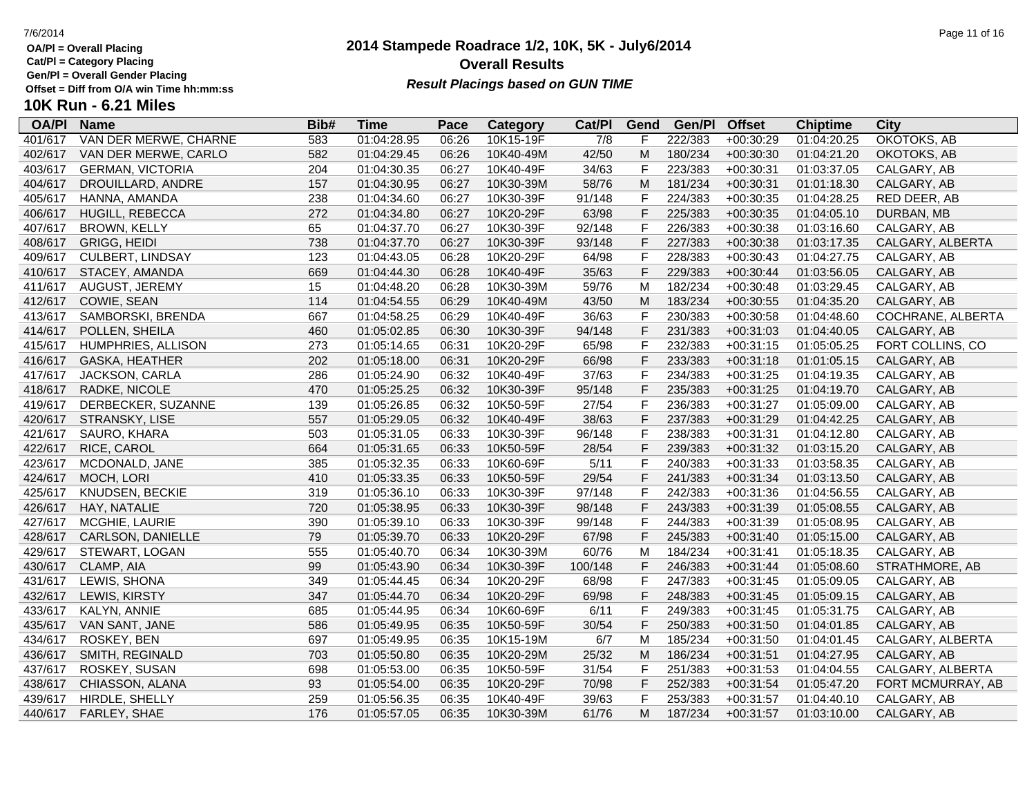**Cat/Pl = Category Placing**

**Gen/Pl = Overall Gender Placing**

# **10K Run - 6.21 Miles**

| <b>OA/PI</b> | <b>Name</b>             | Bib# | <b>Time</b> | Pace  | <b>Category</b> | Cat/PI           | Gend         | Gen/Pl  | <b>Offset</b> | <b>Chiptime</b> | <b>City</b>       |
|--------------|-------------------------|------|-------------|-------|-----------------|------------------|--------------|---------|---------------|-----------------|-------------------|
| 401/617      | VAN DER MERWE, CHARNE   | 583  | 01:04:28.95 | 06:26 | 10K15-19F       | $\overline{7/8}$ | F            | 222/383 | +00:30:29     | 01:04:20.25     | OKOTOKS, AB       |
| 402/617      | VAN DER MERWE, CARLO    | 582  | 01:04:29.45 | 06:26 | 10K40-49M       | 42/50            | ${\sf M}$    | 180/234 | $+00:30:30$   | 01:04:21.20     | OKOTOKS, AB       |
| 403/617      | <b>GERMAN, VICTORIA</b> | 204  | 01:04:30.35 | 06:27 | 10K40-49F       | 34/63            | $\mathsf F$  | 223/383 | $+00:30:31$   | 01:03:37.05     | CALGARY, AB       |
| 404/617      | DROUILLARD, ANDRE       | 157  | 01:04:30.95 | 06:27 | 10K30-39M       | 58/76            | M            | 181/234 | $+00:30:31$   | 01:01:18.30     | CALGARY, AB       |
| 405/617      | HANNA, AMANDA           | 238  | 01:04:34.60 | 06:27 | 10K30-39F       | 91/148           | $\mathsf{F}$ | 224/383 | $+00:30:35$   | 01:04:28.25     | RED DEER, AB      |
| 406/617      | HUGILL, REBECCA         | 272  | 01:04:34.80 | 06:27 | 10K20-29F       | 63/98            | $\mathsf F$  | 225/383 | $+00:30:35$   | 01:04:05.10     | DURBAN, MB        |
| 407/617      | <b>BROWN, KELLY</b>     | 65   | 01:04:37.70 | 06:27 | 10K30-39F       | 92/148           | $\mathsf{F}$ | 226/383 | $+00:30:38$   | 01:03:16.60     | CALGARY, AB       |
| 408/617      | <b>GRIGG, HEIDI</b>     | 738  | 01:04:37.70 | 06:27 | 10K30-39F       | 93/148           | F            | 227/383 | $+00:30:38$   | 01:03:17.35     | CALGARY, ALBERTA  |
| 409/617      | <b>CULBERT, LINDSAY</b> | 123  | 01:04:43.05 | 06:28 | 10K20-29F       | 64/98            | $\mathsf F$  | 228/383 | $+00:30:43$   | 01:04:27.75     | CALGARY, AB       |
| 410/617      | STACEY, AMANDA          | 669  | 01:04:44.30 | 06:28 | 10K40-49F       | 35/63            | $\mathsf{F}$ | 229/383 | $+00:30:44$   | 01:03:56.05     | CALGARY, AB       |
| 411/617      | AUGUST, JEREMY          | 15   | 01:04:48.20 | 06:28 | 10K30-39M       | 59/76            | M            | 182/234 | $+00:30:48$   | 01:03:29.45     | CALGARY, AB       |
| 412/617      | COWIE, SEAN             | 114  | 01:04:54.55 | 06:29 | 10K40-49M       | 43/50            | M            | 183/234 | $+00:30:55$   | 01:04:35.20     | CALGARY, AB       |
| 413/617      | SAMBORSKI, BRENDA       | 667  | 01:04:58.25 | 06:29 | 10K40-49F       | 36/63            | $\mathsf{F}$ | 230/383 | $+00:30:58$   | 01:04:48.60     | COCHRANE, ALBERTA |
| 414/617      | POLLEN, SHEILA          | 460  | 01:05:02.85 | 06:30 | 10K30-39F       | 94/148           | $\mathsf F$  | 231/383 | $+00:31:03$   | 01:04:40.05     | CALGARY, AB       |
| 415/617      | HUMPHRIES, ALLISON      | 273  | 01:05:14.65 | 06:31 | 10K20-29F       | 65/98            | $\mathsf{F}$ | 232/383 | $+00:31:15$   | 01:05:05.25     | FORT COLLINS, CO  |
| 416/617      | <b>GASKA, HEATHER</b>   | 202  | 01:05:18.00 | 06:31 | 10K20-29F       | 66/98            | $\mathsf{F}$ | 233/383 | $+00:31:18$   | 01:01:05.15     | CALGARY, AB       |
| 417/617      | JACKSON, CARLA          | 286  | 01:05:24.90 | 06:32 | 10K40-49F       | 37/63            | $\mathsf{F}$ | 234/383 | $+00:31:25$   | 01:04:19.35     | CALGARY, AB       |
| 418/617      | RADKE, NICOLE           | 470  | 01:05:25.25 | 06:32 | 10K30-39F       | 95/148           | $\mathsf{F}$ | 235/383 | $+00:31:25$   | 01:04:19.70     | CALGARY, AB       |
| 419/617      | DERBECKER, SUZANNE      | 139  | 01:05:26.85 | 06:32 | 10K50-59F       | 27/54            | $\mathsf{F}$ | 236/383 | $+00:31:27$   | 01:05:09.00     | CALGARY, AB       |
| 420/617      | STRANSKY, LISE          | 557  | 01:05:29.05 | 06:32 | 10K40-49F       | 38/63            | $\mathsf F$  | 237/383 | $+00:31:29$   | 01:04:42.25     | CALGARY, AB       |
| 421/617      | SAURO, KHARA            | 503  | 01:05:31.05 | 06:33 | 10K30-39F       | 96/148           | $\mathsf{F}$ | 238/383 | $+00:31:31$   | 01:04:12.80     | CALGARY, AB       |
| 422/617      | RICE, CAROL             | 664  | 01:05:31.65 | 06:33 | 10K50-59F       | 28/54            | $\mathsf F$  | 239/383 | $+00:31:32$   | 01:03:15.20     | CALGARY, AB       |
| 423/617      | MCDONALD, JANE          | 385  | 01:05:32.35 | 06:33 | 10K60-69F       | 5/11             | $\mathsf{F}$ | 240/383 | $+00:31:33$   | 01:03:58.35     | CALGARY, AB       |
| 424/617      | MOCH, LORI              | 410  | 01:05:33.35 | 06:33 | 10K50-59F       | 29/54            | $\mathsf{F}$ | 241/383 | $+00:31:34$   | 01:03:13.50     | CALGARY, AB       |
| 425/617      | KNUDSEN, BECKIE         | 319  | 01:05:36.10 | 06:33 | 10K30-39F       | 97/148           | F            | 242/383 | $+00:31:36$   | 01:04:56.55     | CALGARY, AB       |
| 426/617      | HAY, NATALIE            | 720  | 01:05:38.95 | 06:33 | 10K30-39F       | 98/148           | $\mathsf{F}$ | 243/383 | $+00:31:39$   | 01:05:08.55     | CALGARY, AB       |
| 427/617      | MCGHIE, LAURIE          | 390  | 01:05:39.10 | 06:33 | 10K30-39F       | 99/148           | $\mathsf{F}$ | 244/383 | $+00:31:39$   | 01:05:08.95     | CALGARY, AB       |
| 428/617      | CARLSON, DANIELLE       | 79   | 01:05:39.70 | 06:33 | 10K20-29F       | 67/98            | $\mathsf{F}$ | 245/383 | $+00:31:40$   | 01:05:15.00     | CALGARY, AB       |
| 429/617      | STEWART, LOGAN          | 555  | 01:05:40.70 | 06:34 | 10K30-39M       | 60/76            | M            | 184/234 | $+00:31:41$   | 01:05:18.35     | CALGARY, AB       |
| 430/617      | CLAMP, AIA              | 99   | 01:05:43.90 | 06:34 | 10K30-39F       | 100/148          | $\mathsf F$  | 246/383 | $+00:31:44$   | 01:05:08.60     | STRATHMORE, AB    |
| 431/617      | LEWIS, SHONA            | 349  | 01:05:44.45 | 06:34 | 10K20-29F       | 68/98            | $\mathsf{F}$ | 247/383 | $+00:31:45$   | 01:05:09.05     | CALGARY, AB       |
| 432/617      | LEWIS, KIRSTY           | 347  | 01:05:44.70 | 06:34 | 10K20-29F       | 69/98            | $\mathsf{F}$ | 248/383 | $+00:31:45$   | 01:05:09.15     | CALGARY, AB       |
| 433/617      | KALYN, ANNIE            | 685  | 01:05:44.95 | 06:34 | 10K60-69F       | 6/11             | $\mathsf{F}$ | 249/383 | $+00:31:45$   | 01:05:31.75     | CALGARY, AB       |
| 435/617      | VAN SANT, JANE          | 586  | 01:05:49.95 | 06:35 | 10K50-59F       | 30/54            | $\mathsf F$  | 250/383 | $+00:31:50$   | 01:04:01.85     | CALGARY, AB       |
| 434/617      | ROSKEY, BEN             | 697  | 01:05:49.95 | 06:35 | 10K15-19M       | 6/7              | M            | 185/234 | $+00:31:50$   | 01:04:01.45     | CALGARY, ALBERTA  |
| 436/617      | SMITH, REGINALD         | 703  | 01:05:50.80 | 06:35 | 10K20-29M       | 25/32            | ${\sf M}$    | 186/234 | $+00:31:51$   | 01:04:27.95     | CALGARY, AB       |
| 437/617      | ROSKEY, SUSAN           | 698  | 01:05:53.00 | 06:35 | 10K50-59F       | 31/54            | $\mathsf{F}$ | 251/383 | $+00:31:53$   | 01:04:04.55     | CALGARY, ALBERTA  |
| 438/617      | CHIASSON, ALANA         | 93   | 01:05:54.00 | 06:35 | 10K20-29F       | 70/98            | $\mathsf{F}$ | 252/383 | $+00:31:54$   | 01:05:47.20     | FORT MCMURRAY, AB |
| 439/617      | HIRDLE, SHELLY          | 259  | 01:05:56.35 | 06:35 | 10K40-49F       | 39/63            | $\mathsf{F}$ | 253/383 | $+00:31:57$   | 01:04:40.10     | CALGARY, AB       |
| 440/617      | FARLEY, SHAE            | 176  | 01:05:57.05 | 06:35 | 10K30-39M       | 61/76            | M            | 187/234 | $+00:31:57$   | 01:03:10.00     | CALGARY, AB       |

### **2014 Stampede Roadrace 1/2, 10K, 5K - July6/2014** 7/6/2014 Page 11 of 16 **Overall Results Result Placings based on GUN TIME**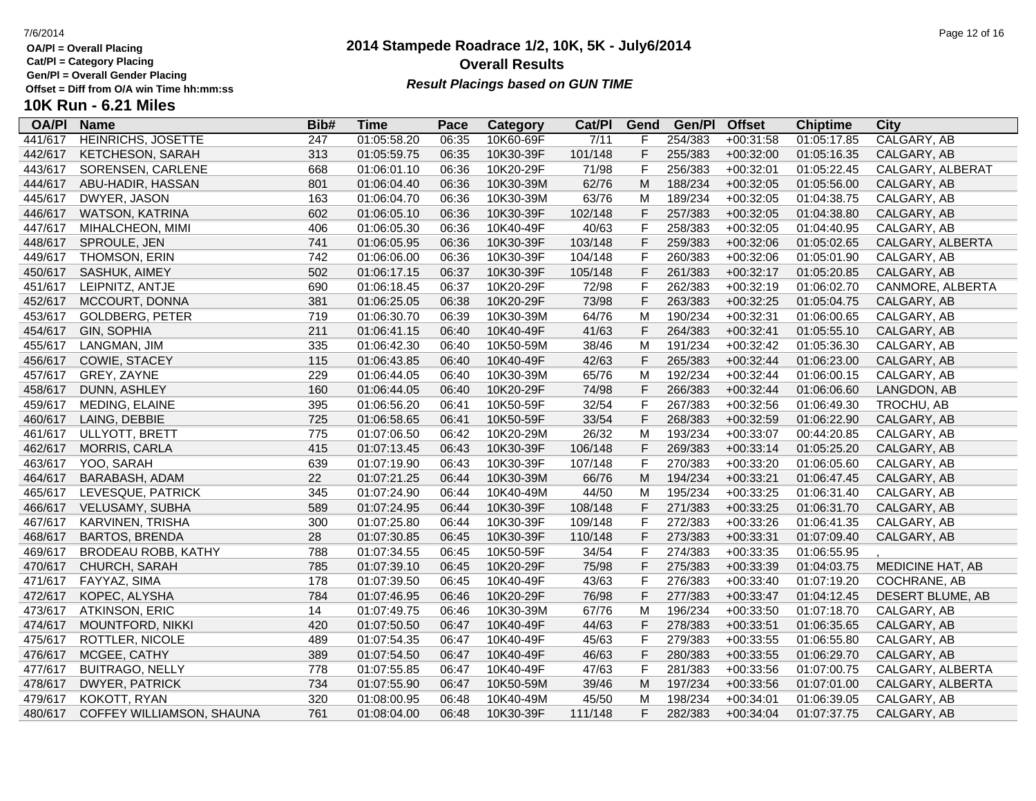**Cat/Pl = Category Placing**

**Gen/Pl = Overall Gender Placing**

# **10K Run - 6.21 Miles**

| <b>OA/PI</b> | <b>Name</b>               | Bib# | <b>Time</b> | Pace  | <b>Category</b> | Cat/PI  | Gend           | Gen/Pl  | <b>Offset</b> | <b>Chiptime</b> | <b>City</b>             |
|--------------|---------------------------|------|-------------|-------|-----------------|---------|----------------|---------|---------------|-----------------|-------------------------|
| 441/617      | HEINRICHS, JOSETTE        | 247  | 01:05:58.20 | 06:35 | 10K60-69F       | 7/11    |                | 254/383 | $+00:31:58$   | 01:05:17.85     | CALGARY, AB             |
| 442/617      | KETCHESON, SARAH          | 313  | 01:05:59.75 | 06:35 | 10K30-39F       | 101/148 | F              | 255/383 | $+00:32:00$   | 01:05:16.35     | CALGARY, AB             |
| 443/617      | SORENSEN, CARLENE         | 668  | 01:06:01.10 | 06:36 | 10K20-29F       | 71/98   | $\mathsf F$    | 256/383 | $+00:32:01$   | 01:05:22.45     | CALGARY, ALBERAT        |
| 444/617      | ABU-HADIR, HASSAN         | 801  | 01:06:04.40 | 06:36 | 10K30-39M       | 62/76   | M              | 188/234 | $+00:32:05$   | 01:05:56.00     | CALGARY, AB             |
| 445/617      | DWYER, JASON              | 163  | 01:06:04.70 | 06:36 | 10K30-39M       | 63/76   | M              | 189/234 | $+00:32:05$   | 01:04:38.75     | CALGARY, AB             |
| 446/617      | WATSON, KATRINA           | 602  | 01:06:05.10 | 06:36 | 10K30-39F       | 102/148 | $\mathsf{F}$   | 257/383 | $+00:32:05$   | 01:04:38.80     | CALGARY, AB             |
| 447/617      | MIHALCHEON, MIMI          | 406  | 01:06:05.30 | 06:36 | 10K40-49F       | 40/63   | $\mathsf{F}$   | 258/383 | $+00:32:05$   | 01:04:40.95     | CALGARY, AB             |
| 448/617      | SPROULE, JEN              | 741  | 01:06:05.95 | 06:36 | 10K30-39F       | 103/148 | $\mathsf{F}$   | 259/383 | $+00:32:06$   | 01:05:02.65     | CALGARY, ALBERTA        |
| 449/617      | THOMSON, ERIN             | 742  | 01:06:06.00 | 06:36 | 10K30-39F       | 104/148 | $\mathsf F$    | 260/383 | $+00:32:06$   | 01:05:01.90     | CALGARY, AB             |
| 450/617      | SASHUK, AIMEY             | 502  | 01:06:17.15 | 06:37 | 10K30-39F       | 105/148 | $\mathsf F$    | 261/383 | $+00:32:17$   | 01:05:20.85     | CALGARY, AB             |
| 451/617      | LEIPNITZ, ANTJE           | 690  | 01:06:18.45 | 06:37 | 10K20-29F       | 72/98   | $\overline{F}$ | 262/383 | $+00:32:19$   | 01:06:02.70     | CANMORE, ALBERTA        |
| 452/617      | MCCOURT, DONNA            | 381  | 01:06:25.05 | 06:38 | 10K20-29F       | 73/98   | $\mathsf F$    | 263/383 | $+00:32:25$   | 01:05:04.75     | CALGARY, AB             |
| 453/617      | <b>GOLDBERG, PETER</b>    | 719  | 01:06:30.70 | 06:39 | 10K30-39M       | 64/76   | M              | 190/234 | $+00:32:31$   | 01:06:00.65     | CALGARY, AB             |
| 454/617      | <b>GIN, SOPHIA</b>        | 211  | 01:06:41.15 | 06:40 | 10K40-49F       | 41/63   | F              | 264/383 | $+00:32:41$   | 01:05:55.10     | CALGARY, AB             |
| 455/617      | LANGMAN, JIM              | 335  | 01:06:42.30 | 06:40 | 10K50-59M       | 38/46   | м              | 191/234 | $+00:32:42$   | 01:05:36.30     | CALGARY, AB             |
| 456/617      | <b>COWIE, STACEY</b>      | 115  | 01:06:43.85 | 06:40 | 10K40-49F       | 42/63   | F              | 265/383 | $+00:32:44$   | 01:06:23.00     | CALGARY, AB             |
| 457/617      | GREY, ZAYNE               | 229  | 01:06:44.05 | 06:40 | 10K30-39M       | 65/76   | M              | 192/234 | $+00:32:44$   | 01:06:00.15     | CALGARY, AB             |
| 458/617      | DUNN, ASHLEY              | 160  | 01:06:44.05 | 06:40 | 10K20-29F       | 74/98   | F              | 266/383 | $+00:32:44$   | 01:06:06.60     | LANGDON, AB             |
| 459/617      | <b>MEDING, ELAINE</b>     | 395  | 01:06:56.20 | 06:41 | 10K50-59F       | 32/54   | F              | 267/383 | $+00:32:56$   | 01:06:49.30     | TROCHU, AB              |
| 460/617      | LAING, DEBBIE             | 725  | 01:06:58.65 | 06:41 | 10K50-59F       | 33/54   | F              | 268/383 | $+00:32:59$   | 01:06:22.90     | CALGARY, AB             |
| 461/617      | ULLYOTT, BRETT            | 775  | 01:07:06.50 | 06:42 | 10K20-29M       | 26/32   | M              | 193/234 | $+00:33:07$   | 00:44:20.85     | CALGARY, AB             |
| 462/617      | MORRIS, CARLA             | 415  | 01:07:13.45 | 06:43 | 10K30-39F       | 106/148 | F              | 269/383 | $+00:33:14$   | 01:05:25.20     | CALGARY, AB             |
| 463/617      | YOO, SARAH                | 639  | 01:07:19.90 | 06:43 | 10K30-39F       | 107/148 | $\mathsf{F}$   | 270/383 | $+00:33:20$   | 01:06:05.60     | CALGARY, AB             |
| 464/617      | BARABASH, ADAM            | 22   | 01:07:21.25 | 06:44 | 10K30-39M       | 66/76   | ${\sf M}$      | 194/234 | $+00:33:21$   | 01:06:47.45     | CALGARY, AB             |
| 465/617      | LEVESQUE, PATRICK         | 345  | 01:07:24.90 | 06:44 | 10K40-49M       | 44/50   | M              | 195/234 | $+00:33:25$   | 01:06:31.40     | CALGARY, AB             |
| 466/617      | VELUSAMY, SUBHA           | 589  | 01:07:24.95 | 06:44 | 10K30-39F       | 108/148 | F              | 271/383 | $+00:33:25$   | 01:06:31.70     | CALGARY, AB             |
| 467/617      | KARVINEN, TRISHA          | 300  | 01:07:25.80 | 06:44 | 10K30-39F       | 109/148 | $\mathsf{F}$   | 272/383 | $+00:33:26$   | 01:06:41.35     | CALGARY, AB             |
| 468/617      | <b>BARTOS, BRENDA</b>     | 28   | 01:07:30.85 | 06:45 | 10K30-39F       | 110/148 | F              | 273/383 | $+00:33:31$   | 01:07:09.40     | CALGARY, AB             |
| 469/617      | BRODEAU ROBB, KATHY       | 788  | 01:07:34.55 | 06:45 | 10K50-59F       | 34/54   | $\mathsf{F}$   | 274/383 | $+00:33:35$   | 01:06:55.95     |                         |
| 470/617      | CHURCH, SARAH             | 785  | 01:07:39.10 | 06:45 | 10K20-29F       | 75/98   | $\mathsf F$    | 275/383 | $+00:33:39$   | 01:04:03.75     | <b>MEDICINE HAT, AB</b> |
| 471/617      | FAYYAZ, SIMA              | 178  | 01:07:39.50 | 06:45 | 10K40-49F       | 43/63   | $\mathsf F$    | 276/383 | $+00:33:40$   | 01:07:19.20     | COCHRANE, AB            |
| 472/617      | KOPEC, ALYSHA             | 784  | 01:07:46.95 | 06:46 | 10K20-29F       | 76/98   | $\mathsf F$    | 277/383 | $+00:33:47$   | 01:04:12.45     | DESERT BLUME, AB        |
| 473/617      | <b>ATKINSON, ERIC</b>     | 14   | 01:07:49.75 | 06:46 | 10K30-39M       | 67/76   | M              | 196/234 | $+00:33:50$   | 01:07:18.70     | CALGARY, AB             |
| 474/617      | MOUNTFORD, NIKKI          | 420  | 01:07:50.50 | 06:47 | 10K40-49F       | 44/63   | $\mathsf{F}$   | 278/383 | $+00:33:51$   | 01:06:35.65     | CALGARY, AB             |
| 475/617      | ROTTLER, NICOLE           | 489  | 01:07:54.35 | 06:47 | 10K40-49F       | 45/63   | F              | 279/383 | $+00:33:55$   | 01:06:55.80     | CALGARY, AB             |
| 476/617      | MCGEE, CATHY              | 389  | 01:07:54.50 | 06:47 | 10K40-49F       | 46/63   | $\mathsf F$    | 280/383 | $+00:33:55$   | 01:06:29.70     | CALGARY, AB             |
| 477/617      | <b>BUITRAGO, NELLY</b>    | 778  | 01:07:55.85 | 06:47 | 10K40-49F       | 47/63   | F              | 281/383 | $+00:33:56$   | 01:07:00.75     | CALGARY, ALBERTA        |
| 478/617      | <b>DWYER, PATRICK</b>     | 734  | 01:07:55.90 | 06:47 | 10K50-59M       | 39/46   | ${\sf M}$      | 197/234 | $+00:33:56$   | 01:07:01.00     | CALGARY, ALBERTA        |
| 479/617      | KOKOTT, RYAN              | 320  | 01:08:00.95 | 06:48 | 10K40-49M       | 45/50   | M              | 198/234 | $+00:34:01$   | 01:06:39.05     | CALGARY, AB             |
| 480/617      | COFFEY WILLIAMSON, SHAUNA | 761  | 01:08:04.00 | 06:48 | 10K30-39F       | 111/148 | F              | 282/383 | $+00:34:04$   | 01:07:37.75     | CALGARY, AB             |

### **2014 Stampede Roadrace 1/2, 10K, 5K - July6/2014** 7/6/2014 Page 12 of 16 **Overall Results Result Placings based on GUN TIME**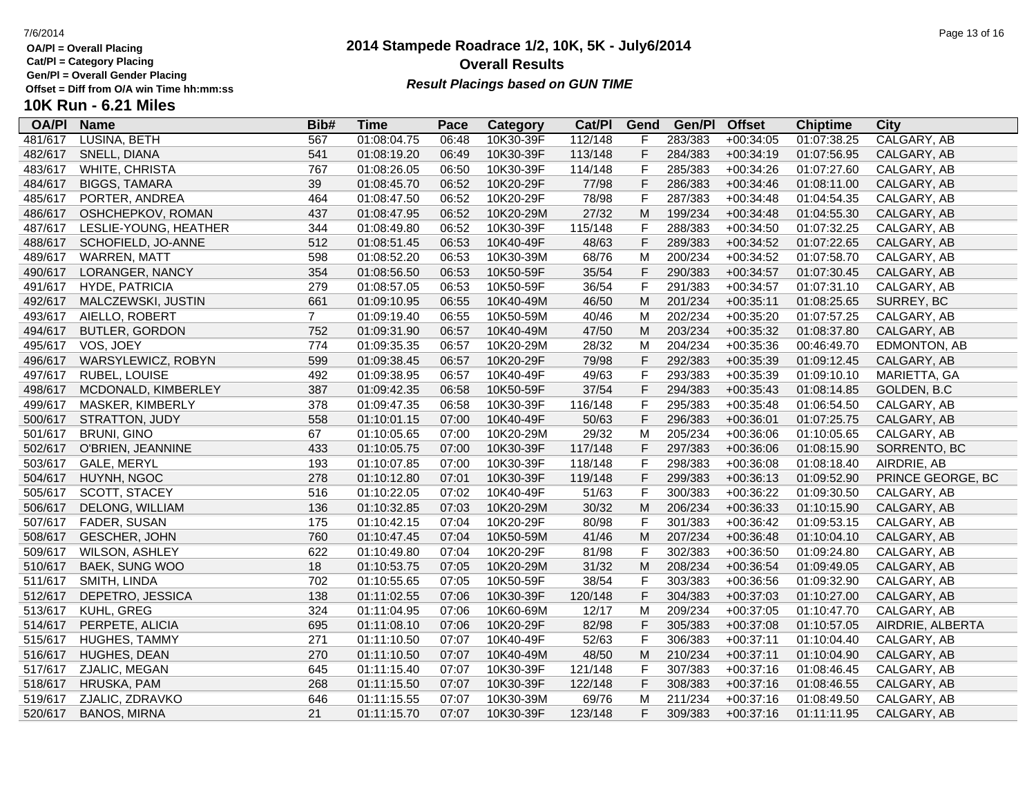**Cat/Pl = Category Placing**

**Gen/Pl = Overall Gender Placing**

### **2014 Stampede Roadrace 1/2, 10K, 5K - July6/2014** 7/6/2014 Page 13 of 16 **Overall Results Result Placings based on GUN TIME**

| <b>OA/PI</b> | <b>Name</b>           | Bib#           | <b>Time</b> | Pace  | Category  | Cat/PI  | Gend         | Gen/Pl  | <b>Offset</b> | <b>Chiptime</b> | City              |
|--------------|-----------------------|----------------|-------------|-------|-----------|---------|--------------|---------|---------------|-----------------|-------------------|
| 481/617      | LUSINA, BETH          | 567            | 01:08:04.75 | 06:48 | 10K30-39F | 112/148 | F            | 283/383 | $+00:34:05$   | 01:07:38.25     | CALGARY, AB       |
| 482/617      | SNELL, DIANA          | 541            | 01:08:19.20 | 06:49 | 10K30-39F | 113/148 | F            | 284/383 | $+00:34:19$   | 01:07:56.95     | CALGARY, AB       |
| 483/617      | WHITE, CHRISTA        | 767            | 01:08:26.05 | 06:50 | 10K30-39F | 114/148 | $\mathsf F$  | 285/383 | $+00:34:26$   | 01:07:27.60     | CALGARY, AB       |
| 484/617      | <b>BIGGS, TAMARA</b>  | 39             | 01:08:45.70 | 06:52 | 10K20-29F | 77/98   | $\mathsf{F}$ | 286/383 | $+00:34:46$   | 01:08:11.00     | CALGARY, AB       |
| 485/617      | PORTER, ANDREA        | 464            | 01:08:47.50 | 06:52 | 10K20-29F | 78/98   | $\mathsf{F}$ | 287/383 | $+00:34:48$   | 01:04:54.35     | CALGARY, AB       |
| 486/617      | OSHCHEPKOV, ROMAN     | 437            | 01:08:47.95 | 06:52 | 10K20-29M | 27/32   | М            | 199/234 | $+00:34:48$   | 01:04:55.30     | CALGARY, AB       |
| 487/617      | LESLIE-YOUNG, HEATHER | 344            | 01:08:49.80 | 06:52 | 10K30-39F | 115/148 | $\mathsf{F}$ | 288/383 | $+00:34:50$   | 01:07:32.25     | CALGARY, AB       |
| 488/617      | SCHOFIELD, JO-ANNE    | 512            | 01:08:51.45 | 06:53 | 10K40-49F | 48/63   | $\mathsf F$  | 289/383 | $+00:34:52$   | 01:07:22.65     | CALGARY, AB       |
| 489/617      | WARREN, MATT          | 598            | 01:08:52.20 | 06:53 | 10K30-39M | 68/76   | M            | 200/234 | $+00:34:52$   | 01:07:58.70     | CALGARY, AB       |
| 490/617      | LORANGER, NANCY       | 354            | 01:08:56.50 | 06:53 | 10K50-59F | 35/54   | $\mathsf{F}$ | 290/383 | $+00:34:57$   | 01:07:30.45     | CALGARY, AB       |
| 491/617      | <b>HYDE, PATRICIA</b> | 279            | 01:08:57.05 | 06:53 | 10K50-59F | 36/54   | F            | 291/383 | $+00:34:57$   | 01:07:31.10     | CALGARY, AB       |
| 492/617      | MALCZEWSKI, JUSTIN    | 661            | 01:09:10.95 | 06:55 | 10K40-49M | 46/50   | M            | 201/234 | $+00:35:11$   | 01:08:25.65     | SURREY, BC        |
| 493/617      | AIELLO, ROBERT        | $\overline{7}$ | 01:09:19.40 | 06:55 | 10K50-59M | 40/46   | M            | 202/234 | $+00:35:20$   | 01:07:57.25     | CALGARY, AB       |
| 494/617      | <b>BUTLER, GORDON</b> | 752            | 01:09:31.90 | 06:57 | 10K40-49M | 47/50   | M            | 203/234 | $+00:35:32$   | 01:08:37.80     | CALGARY, AB       |
| 495/617      | VOS, JOEY             | 774            | 01:09:35.35 | 06:57 | 10K20-29M | 28/32   | M            | 204/234 | $+00:35:36$   | 00:46:49.70     | EDMONTON, AB      |
| 496/617      | WARSYLEWICZ, ROBYN    | 599            | 01:09:38.45 | 06:57 | 10K20-29F | 79/98   | F            | 292/383 | $+00:35:39$   | 01:09:12.45     | CALGARY, AB       |
| 497/617      | RUBEL, LOUISE         | 492            | 01:09:38.95 | 06:57 | 10K40-49F | 49/63   | F            | 293/383 | $+00:35:39$   | 01:09:10.10     | MARIETTA, GA      |
| 498/617      | MCDONALD, KIMBERLEY   | 387            | 01:09:42.35 | 06:58 | 10K50-59F | 37/54   | $\mathsf F$  | 294/383 | $+00:35:43$   | 01:08:14.85     | GOLDEN, B.C       |
| 499/617      | MASKER, KIMBERLY      | 378            | 01:09:47.35 | 06:58 | 10K30-39F | 116/148 | $\mathsf{F}$ | 295/383 | $+00:35:48$   | 01:06:54.50     | CALGARY, AB       |
| 500/617      | STRATTON, JUDY        | 558            | 01:10:01.15 | 07:00 | 10K40-49F | 50/63   | $\mathsf F$  | 296/383 | $+00:36:01$   | 01:07:25.75     | CALGARY, AB       |
| 501/617      | <b>BRUNI, GINO</b>    | 67             | 01:10:05.65 | 07:00 | 10K20-29M | 29/32   | M            | 205/234 | $+00:36:06$   | 01:10:05.65     | CALGARY, AB       |
| 502/617      | O'BRIEN, JEANNINE     | 433            | 01:10:05.75 | 07:00 | 10K30-39F | 117/148 | $\mathsf F$  | 297/383 | $+00:36:06$   | 01:08:15.90     | SORRENTO, BC      |
| 503/617      | GALE, MERYL           | 193            | 01:10:07.85 | 07:00 | 10K30-39F | 118/148 | F            | 298/383 | $+00:36:08$   | 01:08:18.40     | AIRDRIE, AB       |
| 504/617      | HUYNH, NGOC           | 278            | 01:10:12.80 | 07:01 | 10K30-39F | 119/148 | $\mathsf{F}$ | 299/383 | $+00:36:13$   | 01:09:52.90     | PRINCE GEORGE, BC |
| 505/617      | SCOTT, STACEY         | 516            | 01:10:22.05 | 07:02 | 10K40-49F | 51/63   | $\mathsf{F}$ | 300/383 | $+00:36:22$   | 01:09:30.50     | CALGARY, AB       |
| 506/617      | DELONG, WILLIAM       | 136            | 01:10:32.85 | 07:03 | 10K20-29M | 30/32   | ${\sf M}$    | 206/234 | $+00:36:33$   | 01:10:15.90     | CALGARY, AB       |
| 507/617      | FADER, SUSAN          | 175            | 01:10:42.15 | 07:04 | 10K20-29F | 80/98   | $\mathsf{F}$ | 301/383 | $+00:36:42$   | 01:09:53.15     | CALGARY, AB       |
| 508/617      | <b>GESCHER, JOHN</b>  | 760            | 01:10:47.45 | 07:04 | 10K50-59M | 41/46   | M            | 207/234 | $+00:36:48$   | 01:10:04.10     | CALGARY, AB       |
| 509/617      | <b>WILSON, ASHLEY</b> | 622            | 01:10:49.80 | 07:04 | 10K20-29F | 81/98   | $\mathsf{F}$ | 302/383 | $+00:36:50$   | 01:09:24.80     | CALGARY, AB       |
| 510/617      | BAEK, SUNG WOO        | 18             | 01:10:53.75 | 07:05 | 10K20-29M | 31/32   | M            | 208/234 | $+00:36:54$   | 01:09:49.05     | CALGARY, AB       |
| 511/617      | SMITH, LINDA          | 702            | 01:10:55.65 | 07:05 | 10K50-59F | 38/54   | $\mathsf{F}$ | 303/383 | $+00:36:56$   | 01:09:32.90     | CALGARY, AB       |
| 512/617      | DEPETRO, JESSICA      | 138            | 01:11:02.55 | 07:06 | 10K30-39F | 120/148 | $\mathsf F$  | 304/383 | $+00:37:03$   | 01:10:27.00     | CALGARY, AB       |
| 513/617      | KUHL, GREG            | 324            | 01:11:04.95 | 07:06 | 10K60-69M | 12/17   | M            | 209/234 | $+00:37:05$   | 01:10:47.70     | CALGARY, AB       |
| 514/617      | PERPETE, ALICIA       | 695            | 01:11:08.10 | 07:06 | 10K20-29F | 82/98   | $\mathsf F$  | 305/383 | $+00:37:08$   | 01:10:57.05     | AIRDRIE, ALBERTA  |
| 515/617      | HUGHES, TAMMY         | 271            | 01:11:10.50 | 07:07 | 10K40-49F | 52/63   | $\mathsf{F}$ | 306/383 | $+00:37:11$   | 01:10:04.40     | CALGARY, AB       |
| 516/617      | HUGHES, DEAN          | 270            | 01:11:10.50 | 07:07 | 10K40-49M | 48/50   | M            | 210/234 | $+00:37:11$   | 01:10:04.90     | CALGARY, AB       |
| 517/617      | ZJALIC, MEGAN         | 645            | 01:11:15.40 | 07:07 | 10K30-39F | 121/148 | $\mathsf{F}$ | 307/383 | $+00:37:16$   | 01:08:46.45     | CALGARY, AB       |
| 518/617      | <b>HRUSKA, PAM</b>    | 268            | 01:11:15.50 | 07:07 | 10K30-39F | 122/148 | $\mathsf F$  | 308/383 | $+00:37:16$   | 01:08:46.55     | CALGARY, AB       |
| 519/617      | ZJALIC, ZDRAVKO       | 646            | 01:11:15.55 | 07:07 | 10K30-39M | 69/76   | M            | 211/234 | $+00:37:16$   | 01:08:49.50     | CALGARY, AB       |
| 520/617      | <b>BANOS, MIRNA</b>   | 21             | 01:11:15.70 | 07:07 | 10K30-39F | 123/148 | F.           | 309/383 | $+00:37:16$   | 01:11:11.95     | CALGARY, AB       |
|              |                       |                |             |       |           |         |              |         |               |                 |                   |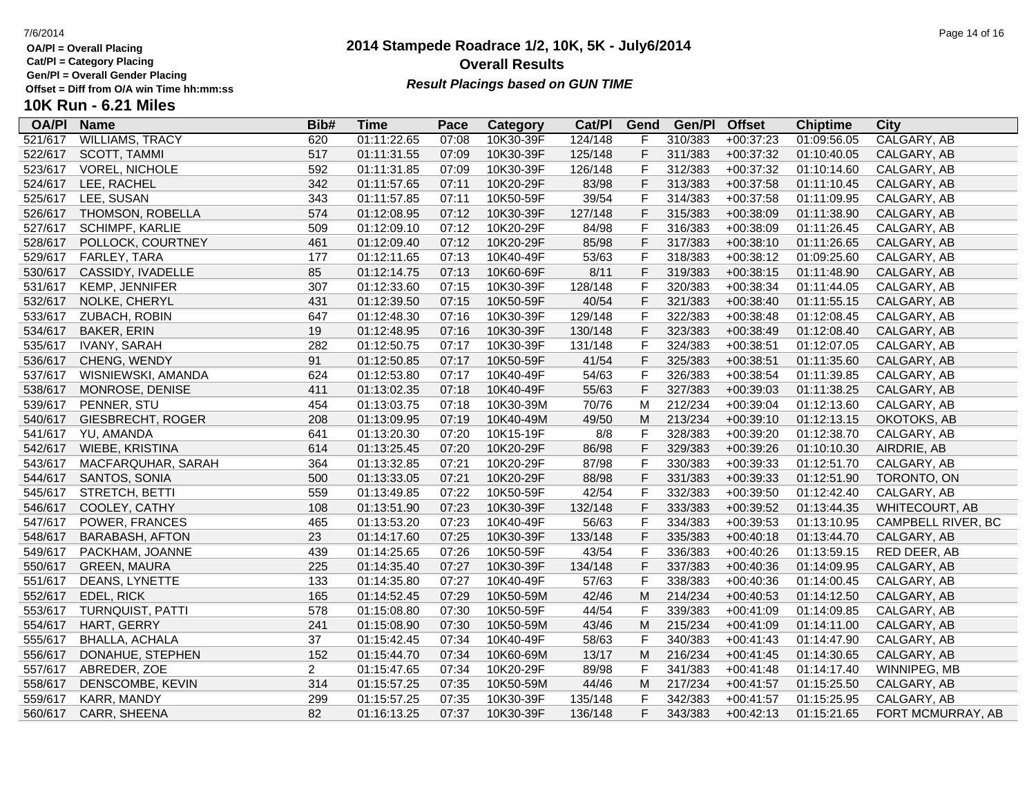**Cat/Pl = Category Placing Gen/Pl = Overall Gender Placing**

**10K Run - 6.21 Miles**

# **2014 Stampede Roadrace 1/2, 10K, 5K - July6/2014 Overall Results** Gen/PI = Overall Gender Placing<br>Offset = Diff from O/A win Time hh:mm:ss *Result Placings based on GUN TIME*

| <b>OA/P</b> | <b>Name</b>            | Bib#           | Time        | Pace  | <b>Category</b> | Cat/PI  | Gend         | Gen/Pl  | <b>Offset</b> | <b>Chiptime</b> | City               |
|-------------|------------------------|----------------|-------------|-------|-----------------|---------|--------------|---------|---------------|-----------------|--------------------|
| 521/617     | <b>WILLIAMS, TRACY</b> | 620            | 01:11:22.65 | 07:08 | 10K30-39F       | 124/148 |              | 310/383 | $+00:37:23$   | 01:09:56.05     | CALGARY, AB        |
| 522/617     | <b>SCOTT, TAMMI</b>    | 517            | 01:11:31.55 | 07:09 | 10K30-39F       | 125/148 | F            | 311/383 | $+00:37:32$   | 01:10:40.05     | CALGARY, AB        |
| 523/617     | VOREL, NICHOLE         | 592            | 01:11:31.85 | 07:09 | 10K30-39F       | 126/148 | F            | 312/383 | $+00:37:32$   | 01:10:14.60     | CALGARY, AB        |
| 524/617     | LEE, RACHEL            | 342            | 01:11:57.65 | 07:11 | 10K20-29F       | 83/98   | F            | 313/383 | $+00:37:58$   | 01:11:10.45     | CALGARY, AB        |
| 525/617     | LEE, SUSAN             | 343            | 01:11:57.85 | 07:11 | 10K50-59F       | 39/54   | F            | 314/383 | $+00:37:58$   | 01:11:09.95     | CALGARY, AB        |
| 526/617     | THOMSON, ROBELLA       | 574            | 01:12:08.95 | 07:12 | 10K30-39F       | 127/148 | F            | 315/383 | $+00:38:09$   | 01:11:38.90     | CALGARY, AB        |
| 527/617     | <b>SCHIMPF, KARLIE</b> | 509            | 01:12:09.10 | 07:12 | 10K20-29F       | 84/98   | $\mathsf{F}$ | 316/383 | $+00:38:09$   | 01:11:26.45     | CALGARY, AB        |
| 528/617     | POLLOCK, COURTNEY      | 461            | 01:12:09.40 | 07:12 | 10K20-29F       | 85/98   | F            | 317/383 | $+00:38:10$   | 01:11:26.65     | CALGARY, AB        |
| 529/617     | FARLEY, TARA           | 177            | 01:12:11.65 | 07:13 | 10K40-49F       | 53/63   | $\mathsf{F}$ | 318/383 | $+00:38:12$   | 01:09:25.60     | CALGARY, AB        |
| 530/617     | CASSIDY, IVADELLE      | 85             | 01:12:14.75 | 07:13 | 10K60-69F       | 8/11    | F            | 319/383 | $+00:38:15$   | 01:11:48.90     | CALGARY, AB        |
| 531/617     | KEMP, JENNIFER         | 307            | 01:12:33.60 | 07:15 | 10K30-39F       | 128/148 | F            | 320/383 | $+00:38:34$   | 01:11:44.05     | CALGARY, AB        |
| 532/617     | NOLKE, CHERYL          | 431            | 01:12:39.50 | 07:15 | 10K50-59F       | 40/54   | F            | 321/383 | $+00:38:40$   | 01:11:55.15     | CALGARY, AB        |
| 533/617     | ZUBACH, ROBIN          | 647            | 01:12:48.30 | 07:16 | 10K30-39F       | 129/148 | F            | 322/383 | $+00:38:48$   | 01:12:08.45     | CALGARY, AB        |
| 534/617     | <b>BAKER, ERIN</b>     | 19             | 01:12:48.95 | 07:16 | 10K30-39F       | 130/148 | F            | 323/383 | $+00:38:49$   | 01:12:08.40     | CALGARY, AB        |
| 535/617     | <b>IVANY, SARAH</b>    | 282            | 01:12:50.75 | 07:17 | 10K30-39F       | 131/148 | F            | 324/383 | $+00:38:51$   | 01:12:07.05     | CALGARY, AB        |
| 536/617     | CHENG, WENDY           | 91             | 01:12:50.85 | 07:17 | 10K50-59F       | 41/54   | F            | 325/383 | $+00:38:51$   | 01:11:35.60     | CALGARY, AB        |
| 537/617     | WISNIEWSKI, AMANDA     | 624            | 01:12:53.80 | 07:17 | 10K40-49F       | 54/63   | F            | 326/383 | $+00:38:54$   | 01:11:39.85     | CALGARY, AB        |
| 538/617     | MONROSE, DENISE        | 411            | 01:13:02.35 | 07:18 | 10K40-49F       | 55/63   | F            | 327/383 | $+00:39:03$   | 01:11:38.25     | CALGARY, AB        |
| 539/617     | PENNER, STU            | 454            | 01:13:03.75 | 07:18 | 10K30-39M       | 70/76   | M            | 212/234 | $+00:39:04$   | 01:12:13.60     | CALGARY, AB        |
| 540/617     | GIESBRECHT, ROGER      | 208            | 01:13:09.95 | 07:19 | 10K40-49M       | 49/50   | M            | 213/234 | $+00:39:10$   | 01:12:13.15     | OKOTOKS, AB        |
| 541/617     | YU, AMANDA             | 641            | 01:13:20.30 | 07:20 | 10K15-19F       | 8/8     | $\mathsf{F}$ | 328/383 | $+00:39:20$   | 01:12:38.70     | CALGARY, AB        |
| 542/617     | WIEBE, KRISTINA        | 614            | 01:13:25.45 | 07:20 | 10K20-29F       | 86/98   | F            | 329/383 | $+00:39:26$   | 01:10:10.30     | AIRDRIE, AB        |
| 543/617     | MACFARQUHAR, SARAH     | 364            | 01:13:32.85 | 07:21 | 10K20-29F       | 87/98   | $\mathsf{F}$ | 330/383 | $+00:39:33$   | 01:12:51.70     | CALGARY, AB        |
| 544/617     | SANTOS, SONIA          | 500            | 01:13:33.05 | 07:21 | 10K20-29F       | 88/98   | F            | 331/383 | $+00:39:33$   | 01:12:51.90     | TORONTO, ON        |
| 545/617     | STRETCH, BETTI         | 559            | 01:13:49.85 | 07:22 | 10K50-59F       | 42/54   | F            | 332/383 | $+00:39:50$   | 01:12:42.40     | CALGARY, AB        |
| 546/617     | COOLEY, CATHY          | 108            | 01:13:51.90 | 07:23 | 10K30-39F       | 132/148 | F            | 333/383 | $+00:39:52$   | 01:13:44.35     | WHITECOURT, AB     |
| 547/617     | POWER, FRANCES         | 465            | 01:13:53.20 | 07:23 | 10K40-49F       | 56/63   | F            | 334/383 | $+00:39:53$   | 01:13:10.95     | CAMPBELL RIVER, BC |
| 548/617     | <b>BARABASH, AFTON</b> | 23             | 01:14:17.60 | 07:25 | 10K30-39F       | 133/148 | F            | 335/383 | $+00:40:18$   | 01:13:44.70     | CALGARY, AB        |
| 549/617     | PACKHAM, JOANNE        | 439            | 01:14:25.65 | 07:26 | 10K50-59F       | 43/54   | F            | 336/383 | $+00:40:26$   | 01:13:59.15     | RED DEER, AB       |
| 550/617     | <b>GREEN, MAURA</b>    | 225            | 01:14:35.40 | 07:27 | 10K30-39F       | 134/148 | F            | 337/383 | $+00:40:36$   | 01:14:09.95     | CALGARY, AB        |
| 551/617     | DEANS, LYNETTE         | 133            | 01:14:35.80 | 07:27 | 10K40-49F       | 57/63   | $\mathsf F$  | 338/383 | $+00:40:36$   | 01:14:00.45     | CALGARY, AB        |
| 552/617     | EDEL, RICK             | 165            | 01:14:52.45 | 07:29 | 10K50-59M       | 42/46   | M            | 214/234 | $+00:40:53$   | 01:14:12.50     | CALGARY, AB        |
| 553/617     | TURNQUIST, PATTI       | 578            | 01:15:08.80 | 07:30 | 10K50-59F       | 44/54   | $\mathsf{F}$ | 339/383 | $+00:41:09$   | 01:14:09.85     | CALGARY, AB        |
| 554/617     | HART, GERRY            | 241            | 01:15:08.90 | 07:30 | 10K50-59M       | 43/46   | M            | 215/234 | $+00:41:09$   | 01:14:11.00     | CALGARY, AB        |
| 555/617     | BHALLA, ACHALA         | 37             | 01:15:42.45 | 07:34 | 10K40-49F       | 58/63   | F            | 340/383 | $+00:41:43$   | 01:14:47.90     | CALGARY, AB        |
| 556/617     | DONAHUE, STEPHEN       | 152            | 01:15:44.70 | 07:34 | 10K60-69M       | 13/17   | M            | 216/234 | $+00:41:45$   | 01:14:30.65     | CALGARY, AB        |
| 557/617     | ABREDER, ZOE           | $\overline{2}$ | 01:15:47.65 | 07:34 | 10K20-29F       | 89/98   | $\mathsf F$  | 341/383 | $+00:41:48$   | 01:14:17.40     | WINNIPEG, MB       |
| 558/617     | DENSCOMBE, KEVIN       | 314            | 01:15:57.25 | 07:35 | 10K50-59M       | 44/46   | М            | 217/234 | $+00:41:57$   | 01:15:25.50     | CALGARY, AB        |
| 559/617     | KARR, MANDY            | 299            | 01:15:57.25 | 07:35 | 10K30-39F       | 135/148 | F            | 342/383 | $+00:41:57$   | 01:15:25.95     | CALGARY, AB        |
| 560/617     | CARR, SHEENA           | 82             | 01:16:13.25 | 07:37 | 10K30-39F       | 136/148 | F            | 343/383 | $+00:42:13$   | 01:15:21.65     | FORT MCMURRAY, AB  |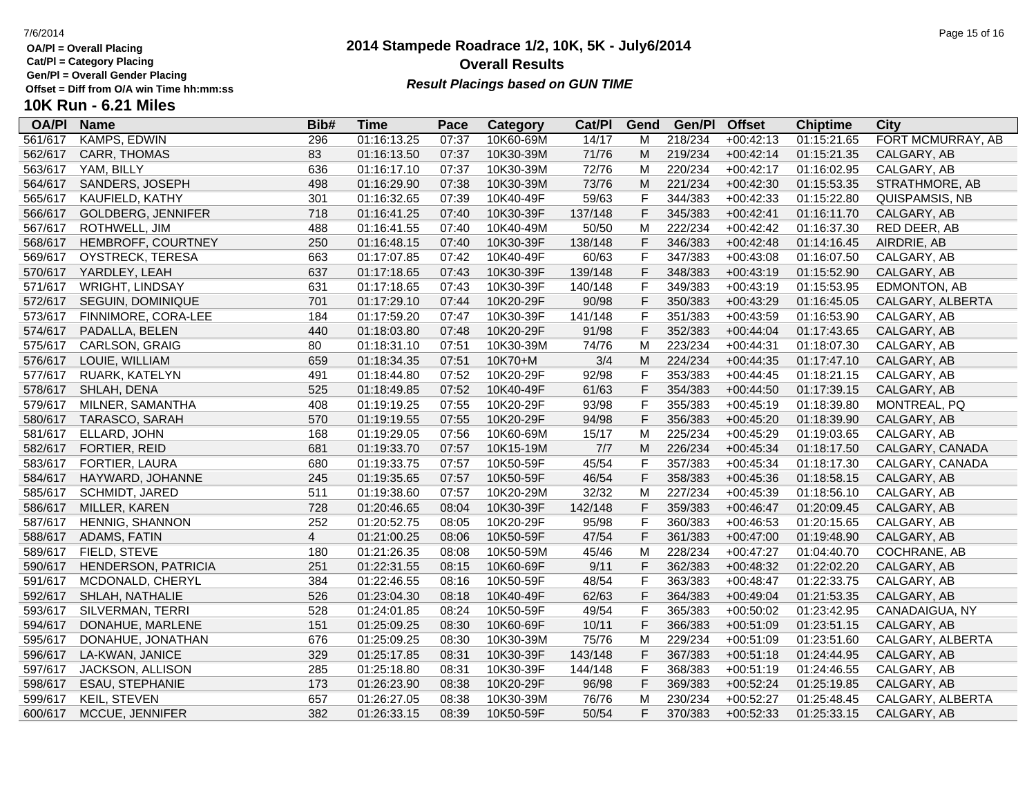**Cat/Pl = Category Placing**

**Gen/Pl = Overall Gender Placing**

### **2014 Stampede Roadrace 1/2, 10K, 5K - July6/2014** 7/6/2014 Page 15 of 16 **Overall Results Result Placings based on GUN TIME**

| <b>OA/PI</b> | <b>Name</b>               | Bib#           | Time        | Pace  | <b>Category</b> | Cat/PI  | Gend         | Gen/P   | <b>Offset</b> | <b>Chiptime</b> | City                |
|--------------|---------------------------|----------------|-------------|-------|-----------------|---------|--------------|---------|---------------|-----------------|---------------------|
| 561/617      | <b>KAMPS, EDWIN</b>       | 296            | 01:16:13.25 | 07:37 | 10K60-69M       | 14/17   | M            | 218/234 | $+00:42:13$   | 01:15:21.65     | FORT MCMURRAY, AB   |
| 562/617      | CARR, THOMAS              | 83             | 01:16:13.50 | 07:37 | 10K30-39M       | 71/76   | М            | 219/234 | $+00:42:14$   | 01:15:21.35     | CALGARY, AB         |
| 563/617      | YAM, BILLY                | 636            | 01:16:17.10 | 07:37 | 10K30-39M       | 72/76   | M            | 220/234 | $+00:42:17$   | 01:16:02.95     | CALGARY, AB         |
| 564/617      | SANDERS, JOSEPH           | 498            | 01:16:29.90 | 07:38 | 10K30-39M       | 73/76   | M            | 221/234 | $+00:42:30$   | 01:15:53.35     | STRATHMORE, AB      |
| 565/617      | KAUFIELD, KATHY           | 301            | 01:16:32.65 | 07:39 | 10K40-49F       | 59/63   | F            | 344/383 | $+00:42:33$   | 01:15:22.80     | QUISPAMSIS, NB      |
| 566/617      | <b>GOLDBERG, JENNIFER</b> | 718            | 01:16:41.25 | 07:40 | 10K30-39F       | 137/148 | F            | 345/383 | $+00:42:41$   | 01:16:11.70     | CALGARY, AB         |
| 567/617      | ROTHWELL, JIM             | 488            | 01:16:41.55 | 07:40 | 10K40-49M       | 50/50   | M            | 222/234 | $+00:42:42$   | 01:16:37.30     | RED DEER, AB        |
| 568/617      | HEMBROFF, COURTNEY        | 250            | 01:16:48.15 | 07:40 | 10K30-39F       | 138/148 | F            | 346/383 | $+00:42:48$   | 01:14:16.45     | AIRDRIE, AB         |
| 569/617      | OYSTRECK, TERESA          | 663            | 01:17:07.85 | 07:42 | 10K40-49F       | 60/63   | $\mathsf{F}$ | 347/383 | $+00:43:08$   | 01:16:07.50     | CALGARY, AB         |
| 570/617      | YARDLEY, LEAH             | 637            | 01:17:18.65 | 07:43 | 10K30-39F       | 139/148 | F            | 348/383 | $+00:43:19$   | 01:15:52.90     | CALGARY, AB         |
| 571/617      | <b>WRIGHT, LINDSAY</b>    | 631            | 01:17:18.65 | 07:43 | 10K30-39F       | 140/148 | F            | 349/383 | $+00:43:19$   | 01:15:53.95     | <b>EDMONTON, AB</b> |
| 572/617      | SEGUIN, DOMINIQUE         | 701            | 01:17:29.10 | 07:44 | 10K20-29F       | 90/98   | F            | 350/383 | $+00:43:29$   | 01:16:45.05     | CALGARY, ALBERTA    |
| 573/617      | FINNIMORE, CORA-LEE       | 184            | 01:17:59.20 | 07:47 | 10K30-39F       | 141/148 | $\mathsf{F}$ | 351/383 | $+00:43:59$   | 01:16:53.90     | CALGARY, AB         |
| 574/617      | PADALLA, BELEN            | 440            | 01:18:03.80 | 07:48 | 10K20-29F       | 91/98   | F            | 352/383 | $+00:44:04$   | 01:17:43.65     | CALGARY, AB         |
| 575/617      | <b>CARLSON, GRAIG</b>     | 80             | 01:18:31.10 | 07:51 | 10K30-39M       | 74/76   | M            | 223/234 | $+00:44:31$   | 01:18:07.30     | CALGARY, AB         |
| 576/617      | LOUIE, WILLIAM            | 659            | 01:18:34.35 | 07:51 | 10K70+M         | 3/4     | M            | 224/234 | $+00:44:35$   | 01:17:47.10     | CALGARY, AB         |
| 577/617      | RUARK, KATELYN            | 491            | 01:18:44.80 | 07:52 | 10K20-29F       | 92/98   | F            | 353/383 | $+00:44:45$   | 01:18:21.15     | CALGARY, AB         |
| 578/617      | SHLAH, DENA               | 525            | 01:18:49.85 | 07:52 | 10K40-49F       | 61/63   | F            | 354/383 | $+00:44:50$   | 01:17:39.15     | CALGARY, AB         |
| 579/617      | MILNER, SAMANTHA          | 408            | 01:19:19.25 | 07:55 | 10K20-29F       | 93/98   | F            | 355/383 | $+00:45:19$   | 01:18:39.80     | MONTREAL, PQ        |
| 580/617      | TARASCO, SARAH            | 570            | 01:19:19.55 | 07:55 | 10K20-29F       | 94/98   | F            | 356/383 | $+00:45:20$   | 01:18:39.90     | CALGARY, AB         |
| 581/617      | ELLARD, JOHN              | 168            | 01:19:29.05 | 07:56 | 10K60-69M       | 15/17   | M            | 225/234 | $+00:45:29$   | 01:19:03.65     | CALGARY, AB         |
| 582/617      | FORTIER, REID             | 681            | 01:19:33.70 | 07:57 | 10K15-19M       | 7/7     | M            | 226/234 | $+00:45:34$   | 01:18:17.50     | CALGARY, CANADA     |
| 583/617      | FORTIER, LAURA            | 680            | 01:19:33.75 | 07:57 | 10K50-59F       | 45/54   | F            | 357/383 | $+00:45:34$   | 01:18:17.30     | CALGARY, CANADA     |
| 584/617      | HAYWARD, JOHANNE          | 245            | 01:19:35.65 | 07:57 | 10K50-59F       | 46/54   | F            | 358/383 | $+00:45:36$   | 01:18:58.15     | CALGARY, AB         |
| 585/617      | SCHMIDT, JARED            | 511            | 01:19:38.60 | 07:57 | 10K20-29M       | 32/32   | M            | 227/234 | $+00:45:39$   | 01:18:56.10     | CALGARY, AB         |
| 586/617      | MILLER, KAREN             | 728            | 01:20:46.65 | 08:04 | 10K30-39F       | 142/148 | F            | 359/383 | $+00:46:47$   | 01:20:09.45     | CALGARY, AB         |
| 587/617      | HENNIG, SHANNON           | 252            | 01:20:52.75 | 08:05 | 10K20-29F       | 95/98   | F            | 360/383 | $+00:46:53$   | 01:20:15.65     | CALGARY, AB         |
| 588/617      | ADAMS, FATIN              | $\overline{4}$ | 01:21:00.25 | 08:06 | 10K50-59F       | 47/54   | F            | 361/383 | $+00:47:00$   | 01:19:48.90     | CALGARY, AB         |
| 589/617      | FIELD, STEVE              | 180            | 01:21:26.35 | 08:08 | 10K50-59M       | 45/46   | M            | 228/234 | $+00:47:27$   | 01:04:40.70     | COCHRANE, AB        |
| 590/617      | HENDERSON, PATRICIA       | 251            | 01:22:31.55 | 08:15 | 10K60-69F       | 9/11    | F            | 362/383 | $+00:48:32$   | 01:22:02.20     | CALGARY, AB         |
| 591/617      | MCDONALD, CHERYL          | 384            | 01:22:46.55 | 08:16 | 10K50-59F       | 48/54   | F            | 363/383 | $+00:48:47$   | 01:22:33.75     | CALGARY, AB         |
| 592/617      | SHLAH, NATHALIE           | 526            | 01:23:04.30 | 08:18 | 10K40-49F       | 62/63   | $\mathsf{F}$ | 364/383 | $+00:49:04$   | 01:21:53.35     | CALGARY, AB         |
| 593/617      | SILVERMAN, TERRI          | 528            | 01:24:01.85 | 08:24 | 10K50-59F       | 49/54   | F            | 365/383 | $+00:50:02$   | 01:23:42.95     | CANADAIGUA, NY      |
| 594/617      | DONAHUE, MARLENE          | 151            | 01:25:09.25 | 08:30 | 10K60-69F       | 10/11   | F            | 366/383 | $+00:51:09$   | 01:23:51.15     | CALGARY, AB         |
| 595/617      | DONAHUE, JONATHAN         | 676            | 01:25:09.25 | 08:30 | 10K30-39M       | 75/76   | M            | 229/234 | $+00:51:09$   | 01:23:51.60     | CALGARY, ALBERTA    |
| 596/617      | LA-KWAN, JANICE           | 329            | 01:25:17.85 | 08:31 | 10K30-39F       | 143/148 | F            | 367/383 | $+00:51:18$   | 01:24:44.95     | CALGARY, AB         |
| 597/617      | JACKSON, ALLISON          | 285            | 01:25:18.80 | 08:31 | 10K30-39F       | 144/148 | F            | 368/383 | $+00:51:19$   | 01:24:46.55     | CALGARY, AB         |
| 598/617      | <b>ESAU, STEPHANIE</b>    | 173            | 01:26:23.90 | 08:38 | 10K20-29F       | 96/98   | F            | 369/383 | $+00:52:24$   | 01:25:19.85     | CALGARY, AB         |
| 599/617      | KEIL, STEVEN              | 657            | 01:26:27.05 | 08:38 | 10K30-39M       | 76/76   | M            | 230/234 | $+00:52:27$   | 01:25:48.45     | CALGARY, ALBERTA    |
| 600/617      | MCCUE, JENNIFER           | 382            | 01:26:33.15 | 08:39 | 10K50-59F       | 50/54   | F            | 370/383 | $+00:52:33$   | 01:25:33.15     | CALGARY, AB         |
|              |                           |                |             |       |                 |         |              |         |               |                 |                     |